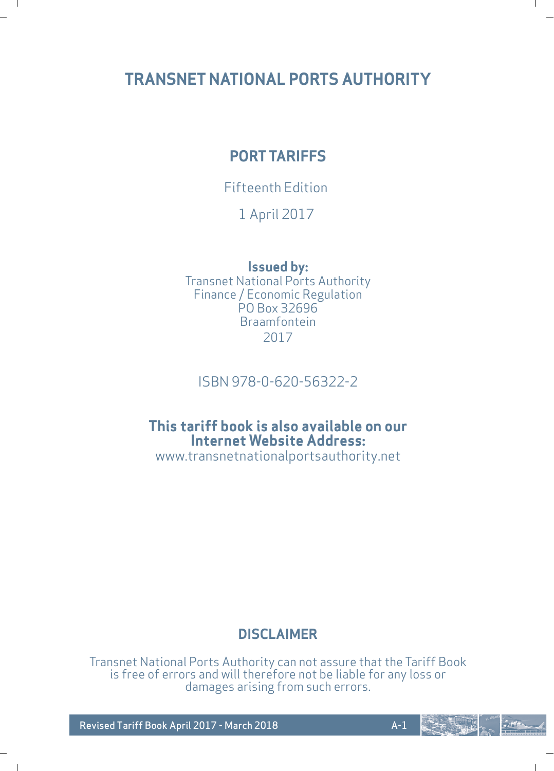# **TRANSNET NATIONAL PORTS AUTHORITY**

 $\blacksquare$ 

 $\blacksquare$ 

# **PORT TARIFFS**

# Fifteenth Edition

1 April 2017

# **Issued by:**

Transnet National Ports Authority Finance / Economic Regulation PO Box 32696 Braamfontein 2017

# ISBN 978-0-620-56322-2

# **This tariff book is also available on our Internet Website Address:**

www.transnetnationalportsauthority.net

# **DISCLAIMER**

Transnet National Ports Authority can not assure that the Tariff Book is free of errors and will therefore not be liable for any loss or damages arising from such errors.

Revised Tariff Book April 2017 - March 2018 And A-1

 $-$  of  $\epsilon$ 

L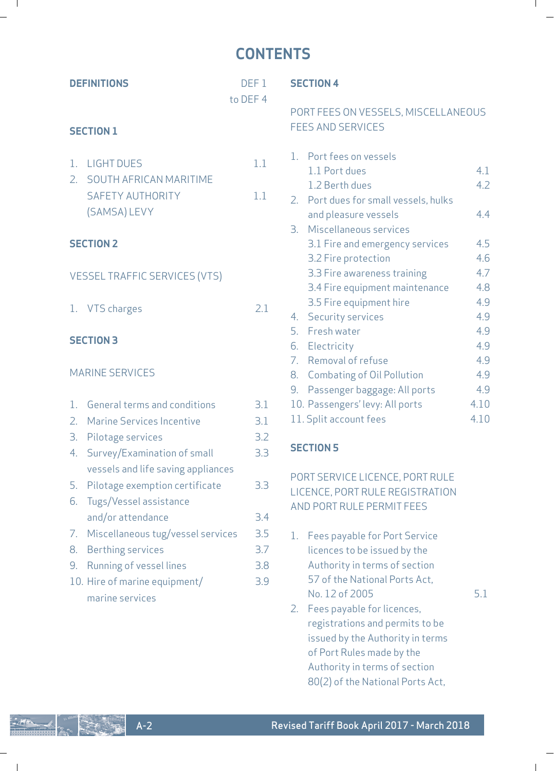# **CONTENTS**

 $\mathbf{I}$ 

 $\mathbb{L}$ 

 $\mathbf{I}$ 

 $\mathcal{L} = \mathcal{L}$ 

 $\blacksquare$ 

**RATION** 

.<br>تاريخ

| <b>DEFINITIONS</b>                                                                                                                                          | DEF <sub>1</sub>         | <b>SECTION 4</b>                                                                                                                                         |                   |
|-------------------------------------------------------------------------------------------------------------------------------------------------------------|--------------------------|----------------------------------------------------------------------------------------------------------------------------------------------------------|-------------------|
| <b>SECTION 1</b>                                                                                                                                            | to DEF 4                 | PORT FEES ON VESSELS, MISCELLANEOUS<br><b>FEES AND SERVICES</b>                                                                                          |                   |
| <b>LIGHT DUES</b><br>1.<br>2.<br>SOUTH AFRICAN MARITIME<br>SAFETY AUTHORITY<br>(SAMSA) LEVY                                                                 | 1.1<br>1.1               | 1. Port fees on vessels<br>1.1 Port dues<br>1.2 Berth dues<br>2. Port dues for small vessels, hulks<br>and pleasure vessels<br>3. Miscellaneous services | 4.1<br>4.2<br>4.4 |
| <b>SECTION 2</b>                                                                                                                                            |                          | 3.1 Fire and emergency services<br>3.2 Fire protection                                                                                                   | 4.5<br>4.6        |
| <b>VESSEL TRAFFIC SERVICES (VTS)</b>                                                                                                                        |                          | 3.3 Fire awareness training<br>3.4 Fire equipment maintenance                                                                                            | 4.7<br>4.8        |
| 1. VTS charges                                                                                                                                              | 2.1                      | 3.5 Fire equipment hire<br>4. Security services<br>5. Fresh water                                                                                        | 4.9<br>4.9<br>4.9 |
| <b>SECTION 3</b>                                                                                                                                            |                          | 6. Electricity<br>7. Removal of refuse                                                                                                                   | 4.9<br>4.9        |
| <b>MARINE SERVICES</b>                                                                                                                                      |                          | 8. Combating of Oil Pollution<br>9. Passenger baggage: All ports                                                                                         | 4.9<br>4.9        |
| 1. General terms and conditions                                                                                                                             | 3.1                      | 10. Passengers' levy: All ports                                                                                                                          | 4.10              |
| 2. Marine Services Incentive                                                                                                                                | 3.1                      | 11. Split account fees                                                                                                                                   | 4.10              |
| З.<br>Pilotage services<br>Survey/Examination of small<br>4.                                                                                                | 3.2<br>3.3               | <b>SECTION 5</b>                                                                                                                                         |                   |
| vessels and life saving appliances<br>Pilotage exemption certificate<br>5.<br>Tugs/Vessel assistance<br>6.<br>and/or attendance                             | 3.3<br>3.4               | PORT SERVICE LICENCE, PORT RULE<br>LICENCE, PORT RULE REGISTRATION<br>AND PORT RULE PERMIT FEES                                                          |                   |
| Miscellaneous tug/vessel services<br>7.<br><b>Berthing services</b><br>8.<br>9. Running of vessel lines<br>10. Hire of marine equipment/<br>marine services | 3.5<br>3.7<br>3.8<br>3.9 | 1. Fees payable for Port Service<br>licences to be issued by the<br>Authority in terms of section<br>57 of the National Ports Act.<br>No. 12 of 2005     | 5.1               |
|                                                                                                                                                             |                          | 2. Fees payable for licences,<br>registrations and permits to be                                                                                         |                   |

issued by the Authority in terms of Port Rules made by the Authority in terms of section 80(2) of the National Ports Act,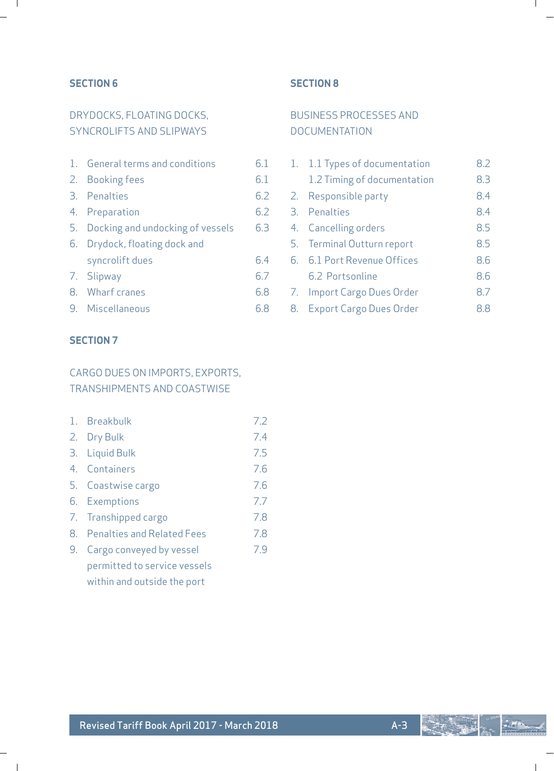# **SECTION 6**

 $\blacksquare$ 

 $\overline{\phantom{a}}$ 

# DRYDOCKS, FLOATING DOCKS SYNCROLIFTS AND SLIPWAYS

| 1. General terms and conditions     | 6.1 |
|-------------------------------------|-----|
| 2. Booking fees                     | 6.1 |
| 3. Penalties                        | 6.2 |
| 4. Preparation                      | 6.2 |
| 5. Docking and undocking of vessels | 6.3 |
| 6. Drydock, floating dock and       |     |
| syncrolift dues                     | 64  |
| 7. Slipway                          | 6.7 |
| 8. Wharf cranes                     | 68  |
| 9. Miscellaneous                    | 68  |

# **SECTION 8**

# BUSINESS PROCESSES AND DOCUMENTATION

|  | 1. 1.1 Types of documentation | 82  |
|--|-------------------------------|-----|
|  | 1.2 Timing of documentation   | 8.3 |
|  | 2. Responsible party          | 8.4 |
|  | 3. Penalties                  | 8.4 |
|  | 4. Cancelling orders          | 8.5 |
|  | 5. Terminal Outturn report    | 8.5 |
|  | 6. 6.1 Port Revenue Offices   | 8.6 |
|  | 6.2 Portsonline               | 8.6 |
|  | 7. Import Cargo Dues Order    | 87  |
|  | 8. Export Cargo Dues Order    | 88  |

# **SECTION 7**

# CARGO DUES ON IMPORTS, EXPORTS, TRANSHIPMENTS AND COASTWISE

| 1. Breakbulk |     |
|--------------|-----|
| 2. Dry Bulk  | 7.4 |

- 3. Liquid Bulk 7.5
- 4. Containers 7.6 5. Coastwise cargo 7.6
- 6. Exemptions 7.7
- 7. Transhipped cargo 7.8
- 8. Penalties and Related Fees 7.8
- 9. Cargo conveyed by vessel 7.9 permitted to service vessels
	- within and outside the port

L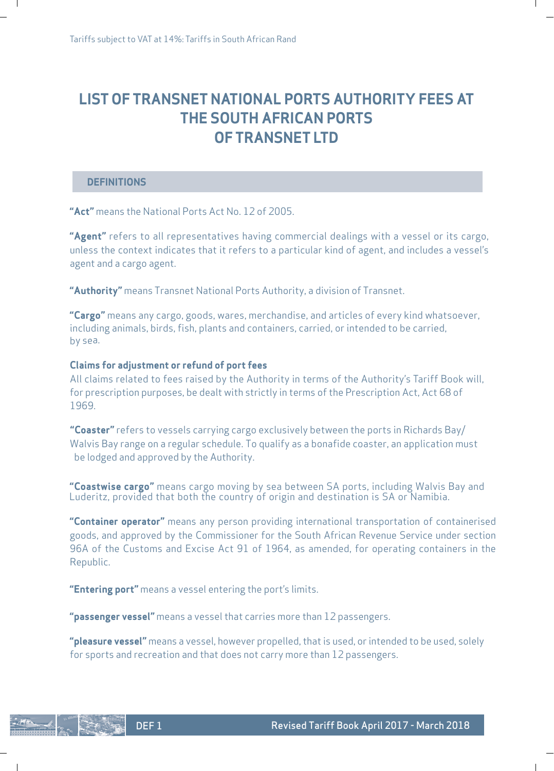# **LIST OF TRANSNET NATIONAL PORTS AUTHORITY FEES AT THE SOUTH AFRICAN PORTS OF TRANSNET LTD**

ı

#### **DEFINITIONS**

 $\mathbf{I}$ 

**"Act"** means the National Ports Act No. 12 of 2005.

**"Agent"** refers to all representatives having commercial dealings with a vessel or its cargo, unless the context indicates that it refers to a particular kind of agent, and includes a vessel's agent and a cargo agent.

**"Authority"** means Transnet National Ports Authority, a division of Transnet.

**"Cargo"** means any cargo, goods, wares, merchandise, and articles of every kind whatsoever, including animals, birds, fish, plants and containers, carried, or intended to be carried, by sea.

#### **Claims for adjustment or refund of port fees**

All claims related to fees raised by the Authority in terms of the Authority's Tariff Book will, for prescription purposes, be dealt with strictly in terms of the Prescription Act, Act 68 of 1969.

**"Coaster"** refers to vessels carrying cargo exclusively between the ports in Richards Bay/ Walvis Bay range on a regular schedule. To qualify as a bonafide coaster, an application must be lodged and approved by the Authority.

**"Coastwise cargo"** means cargo moving by sea between SA ports, including Walvis Bay and Luderitz, provided that both the country of origin and destination is SA or Namibia.

**"Container operator"** means any person providing international transportation of containerised goods, and approved by the Commissioner for the South African Revenue Service under section 96A of the Customs and Excise Act 91 of 1964, as amended, for operating containers in the Republic.

**"Entering port"** means a vessel entering the port's limits.

DEF 1

 $\mathbf{I}$ 

**"passenger vessel"** means a vessel that carries more than 12 passengers.

**"pleasure vessel"** means a vessel, however propelled, that is used, or intended to be used, solely for sports and recreation and that does not carry more than 12 passengers.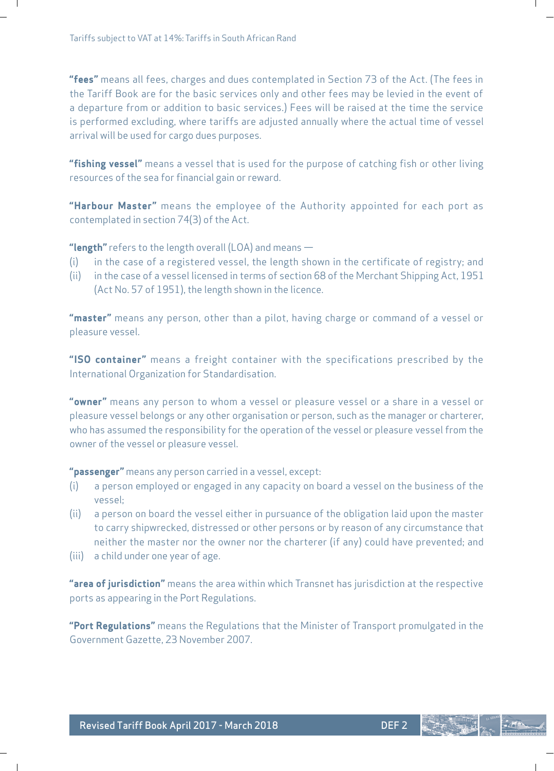**"fees"** means all fees, charges and dues contemplated in Section 73 of the Act. (The fees in the Tariff Book are for the basic services only and other fees may be levied in the event of a departure from or addition to basic services.) Fees will be raised at the time the service is performed excluding, where tariffs are adjusted annually where the actual time of vessel arrival will be used for cargo dues purposes.

ı

**"fishing vessel"** means a vessel that is used for the purpose of catching fish or other living resources of the sea for financial gain or reward.

**"Harbour Master"** means the employee of the Authority appointed for each port as contemplated in section 74(3) of the Act.

**"length"** refers to the length overall (LOA) and means —

- (i) in the case of a registered vessel, the length shown in the certificate of registry; and
- (ii) in the case of a vessel licensed in terms of section 68 of the Merchant Shipping Act, 1951 (Act No. 57 of 1951), the length shown in the licence.

**"master"** means any person, other than a pilot, having charge or command of a vessel or pleasure vessel.

**"ISO container"** means a freight container with the specifications prescribed by the International Organization for Standardisation.

**"owner"** means any person to whom a vessel or pleasure vessel or a share in a vessel or pleasure vessel belongs or any other organisation or person, such as the manager or charterer, who has assumed the responsibility for the operation of the vessel or pleasure vessel from the owner of the vessel or pleasure vessel.

**"passenger"** means any person carried in a vessel, except:

- (i) a person employed or engaged in any capacity on board a vessel on the business of the vessel;
- (ii) a person on board the vessel either in pursuance of the obligation laid upon the master to carry shipwrecked, distressed or other persons or by reason of any circumstance that neither the master nor the owner nor the charterer (if any) could have prevented; and
- (iii) a child under one year of age.

**"area of jurisdiction"** means the area within which Transnet has jurisdiction at the respective ports as appearing in the Port Regulations.

**"Port Regulations"** means the Regulations that the Minister of Transport promulgated in the Government Gazette, 23 November 2007.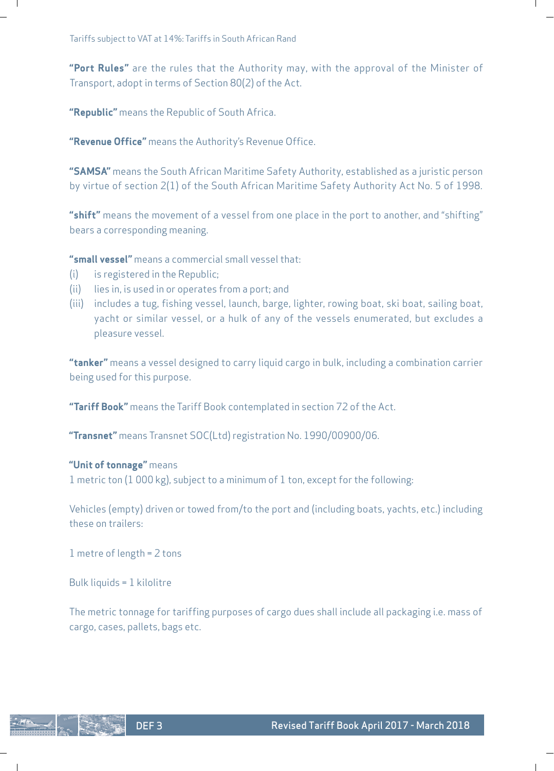**"Port Rules"** are the rules that the Authority may, with the approval of the Minister of Transport, adopt in terms of Section 80(2) of the Act.

Ш

**"Republic"** means the Republic of South Africa.

**"Revenue Office"** means the Authority's Revenue Office.

**"SAMSA"** means the South African Maritime Safety Authority, established as a juristic person by virtue of section 2(1) of the South African Maritime Safety Authority Act No. 5 of 1998.

**"shift"** means the movement of a vessel from one place in the port to another, and "shifting" bears a corresponding meaning.

**"small vessel"** means a commercial small vessel that:

- (i) is registered in the Republic;
- (ii) lies in, is used in or operates from a port; and
- (iii) includes a tug, fishing vessel, launch, barge, lighter, rowing boat, ski boat, sailing boat, yacht or similar vessel, or a hulk of any of the vessels enumerated, but excludes a pleasure vessel.

**"tanker"** means a vessel designed to carry liquid cargo in bulk, including a combination carrier being used for this purpose.

**"Tariff Book"** means the Tariff Book contemplated in section 72 of the Act.

**"Transnet"** means Transnet SOC(Ltd) registration No. 1990/00900/06.

### **"Unit of tonnage"** means

1 metric ton (1 000 kg), subject to a minimum of 1 ton, except for the following:

Vehicles (empty) driven or towed from/to the port and (including boats, yachts, etc.) including these on trailers:

1 metre of length = 2 tons

Bulk liquids = 1 kilolitre

The metric tonnage for tariffing purposes of cargo dues shall include all packaging i.e. mass of cargo, cases, pallets, bags etc.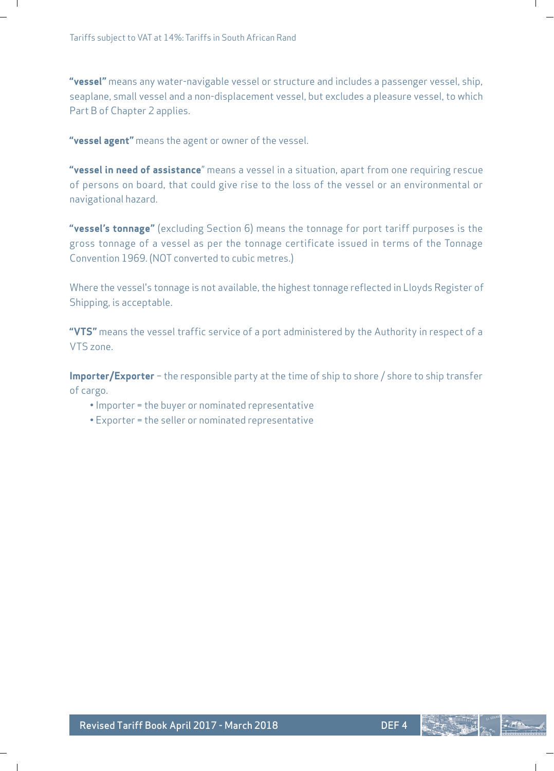**"vessel"** means any water-navigable vessel or structure and includes a passenger vessel, ship, seaplane, small vessel and a non-displacement vessel, but excludes a pleasure vessel, to which Part B of Chapter 2 applies.

**"vessel agent"** means the agent or owner of the vessel.

**"vessel in need of assistance**" means a vessel in a situation, apart from one requiring rescue of persons on board, that could give rise to the loss of the vessel or an environmental or navigational hazard.

**"vessel's tonnage"** (excluding Section 6) means the tonnage for port tariff purposes is the gross tonnage of a vessel as per the tonnage certificate issued in terms of the Tonnage Convention 1969. (NOT converted to cubic metres.)

Where the vessel's tonnage is not available, the highest tonnage reflected in Lloyds Register of Shipping, is acceptable.

**"VTS"** means the vessel traffic service of a port administered by the Authority in respect of a VTS zone.

**Importer/Exporter** – the responsible party at the time of ship to shore / shore to ship transfer of cargo.

- Importer = the buyer or nominated representative
- Exporter = the seller or nominated representative

ı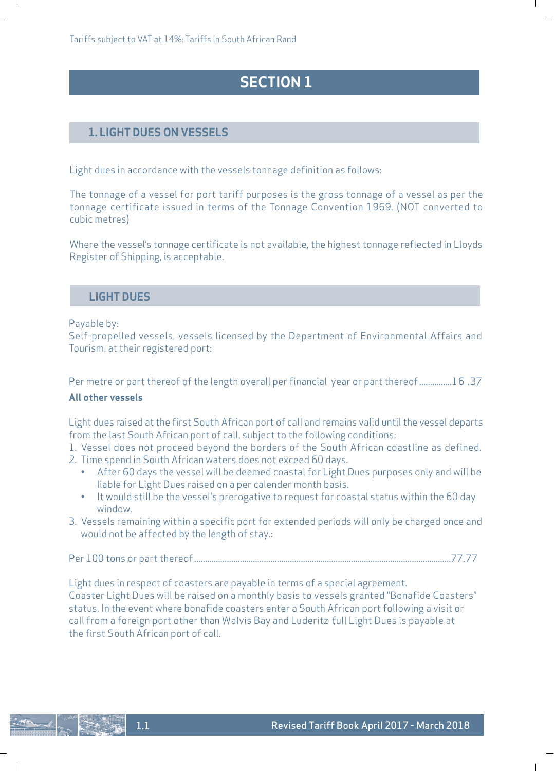# **SECTION 1**

# **1. LIGHT DUES ON VESSELS**

Light dues in accordance with the vessels tonnage definition as follows:

The tonnage of a vessel for port tariff purposes is the gross tonnage of a vessel as per the tonnage certificate issued in terms of the Tonnage Convention 1969. (NOT converted to cubic metres)

Where the vessel's tonnage certificate is not available, the highest tonnage reflected in Lloyds Register of Shipping, is acceptable.

# **LIGHT DUES**

Payable by:

 $\mathbf{I}$ 

 $\overline{\phantom{a}}$ 

Self-propelled vessels, vessels licensed by the Department of Environmental Affairs and Tourism, at their registered port:

Per metre or part thereof of the length overall per financial year or part thereof ...............16 .37 **All other vessels**

Light dues raised at the first South African port of call and remains valid until the vessel departs from the last South African port of call, subject to the following conditions:

1. Vessel does not proceed beyond the borders of the South African coastline as defined.

- 2. Time spend in South African waters does not exceed 60 days.
	- After 60 days the vessel will be deemed coastal for Light Dues purposes only and will be liable for Light Dues raised on a per calender month basis.
	- It would still be the vessel's prerogative to request for coastal status within the 60 day window.
- 3. Vessels remaining within a specific port for extended periods will only be charged once and would not be affected by the length of stay.:

Per 100 tons or part thereof ......................................................................................................................77.77

Light dues in respect of coasters are payable in terms of a special agreement. Coaster Light Dues will be raised on a monthly basis to vessels granted "Bonafide Coasters" status. In the event where bonafide coasters enter a South African port following a visit or call from a foreign port other than Walvis Bay and Luderitz full Light Dues is payable at the first South African port of call.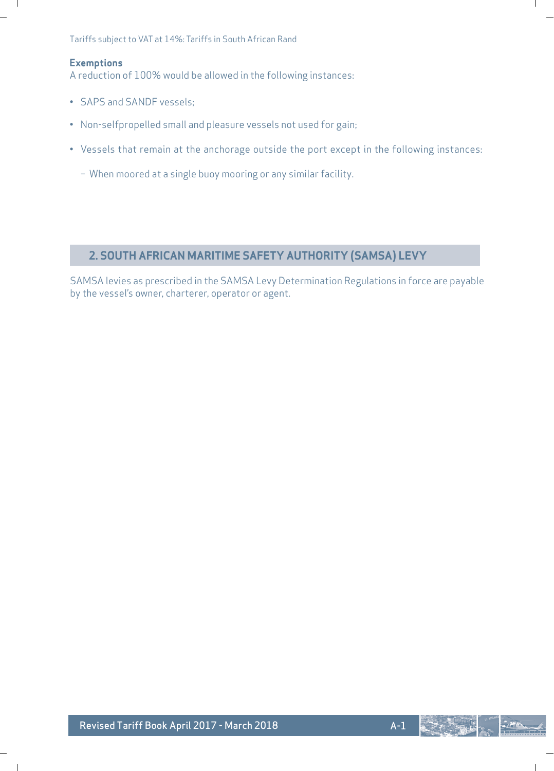Tariffs subject to VAT at 14%: Tariffs in South African Rand

### **Exemptions**

 $\blacksquare$ 

 $\overline{\phantom{a}}$ 

A reduction of 100% would be allowed in the following instances:

- SAPS and SANDF vessels;
- Non-selfpropelled small and pleasure vessels not used for gain;
- Vessels that remain at the anchorage outside the port except in the following instances:
	- When moored at a single buoy mooring or any similar facility.

# **2. SOUTH AFRICAN MARITIME SAFETY AUTHORITY (SAMSA) LEVY**

SAMSA levies as prescribed in the SAMSA Levy Determination Regulations in force are payable by the vessel's owner, charterer, operator or agent.

 $-1$ 

ı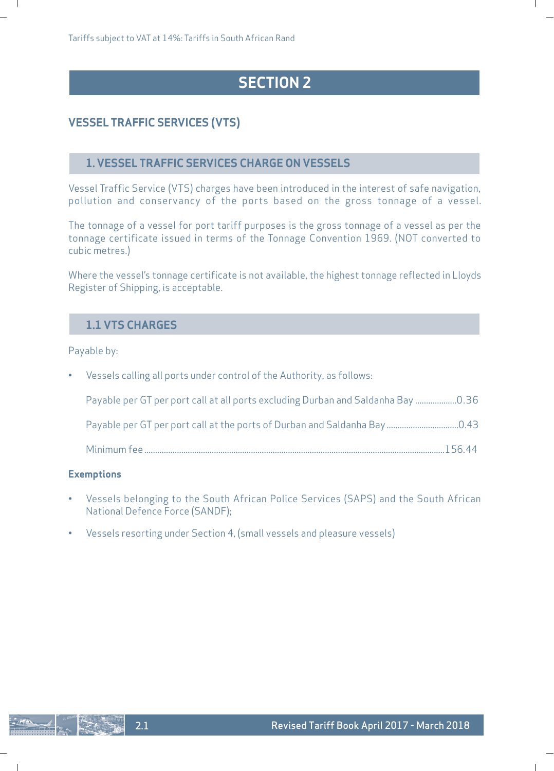# **SECTION 2**

ı

# **VESSEL TRAFFIC SERVICES (VTS)**

# **1. VESSEL TRAFFIC SERVICES CHARGE ON VESSELS**

Vessel Traffic Service (VTS) charges have been introduced in the interest of safe navigation, pollution and conservancy of the ports based on the gross tonnage of a vessel.

The tonnage of a vessel for port tariff purposes is the gross tonnage of a vessel as per the tonnage certificate issued in terms of the Tonnage Convention 1969. (NOT converted to cubic metres.)

Where the vessel's tonnage certificate is not available, the highest tonnage reflected in Lloyds Register of Shipping, is acceptable.

# **1.1 VTS CHARGES**

Payable by:

 $\blacksquare$ 

| • Vessels calling all ports under control of the Authority, as follows:          |  |
|----------------------------------------------------------------------------------|--|
| Dayable per GT per port call at all ports excluding Durban and Saldanha Bay 0.36 |  |
|                                                                                  |  |
|                                                                                  |  |

### **Exemptions**

- Vessels belonging to the South African Police Services (SAPS) and the South African National Defence Force (SANDF);
- Vessels resorting under Section 4, (small vessels and pleasure vessels)

 $\mathbf{I}$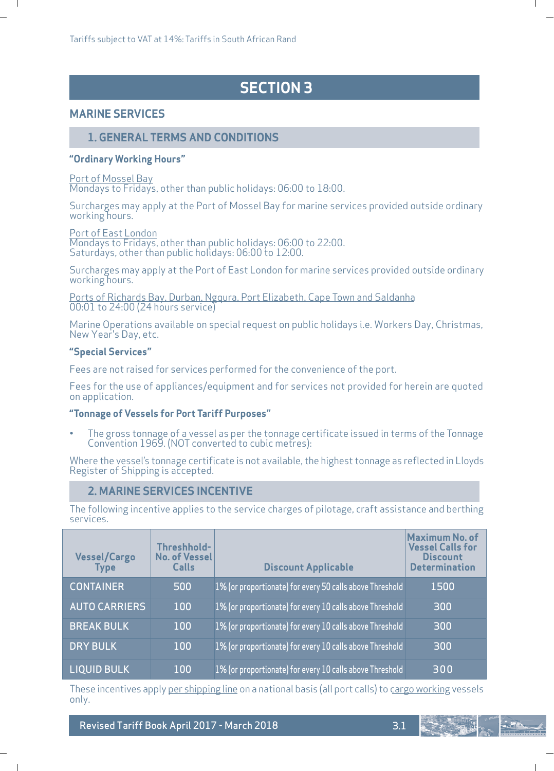# **SECTION 3**

### **MARINE SERVICES**

 $\blacksquare$ 

 $\overline{\phantom{a}}$ 

### **1. GENERAL TERMS AND CONDITIONS**

#### **"Ordinary Working Hours"**

### Port of Mossel Bay

Mondays to Fridays, other than public holidays: 06:00 to 18:00.

Surcharges may apply at the Port of Mossel Bay for marine services provided outside ordinary working hours.

Port of East London Mondays to Fridays, other than public holidays: 06:00 to 22:00. Saturdays, other than public holidays: 06:00 to 12:00.

Surcharges may apply at the Port of East London for marine services provided outside ordinary working hours.

Ports of Richards Bay, Durban, Ngqura, Port Elizabeth, Cape Town and Saldanha 00:01 to 24:00 (24 hours service)

Marine Operations available on special request on public holidays i.e. Workers Day, Christmas, New Year's Day, etc.

### **"Special Services"**

Fees are not raised for services performed for the convenience of the port.

Fees for the use of appliances/equipment and for services not provided for herein are quoted on application.

### **"Tonnage of Vessels for Port Tariff Purposes"**

• The gross tonnage of a vessel as per the tonnage certificate issued in terms of the Tonnage Convention 1969. (NOT converted to cubic metres):

Where the vessel's tonnage certificate is not available, the highest tonnage as reflected in Lloyds Register of Shipping is accepted.

### **2. MARINE SERVICES INCENTIVE**

The following incentive applies to the service charges of pilotage, craft assistance and berthing services.

| <b>Vessel/Cargo</b><br><b>Type</b> | Threshhold-<br><b>No. of Vessel</b><br>Calls | <b>Discount Applicable</b>                               | Maximum No. of<br><b>Vessel Calls for</b><br><b>Discount</b><br><b>Determination</b> |
|------------------------------------|----------------------------------------------|----------------------------------------------------------|--------------------------------------------------------------------------------------|
| <b>CONTAINER</b>                   | 500                                          | 1% (or proportionate) for every 50 calls above Threshold | 1500                                                                                 |
| <b>AUTO CARRIERS</b>               | 100                                          | 1% (or proportionate) for every 10 calls above Threshold | 300                                                                                  |
| <b>BREAK BULK</b>                  | 100                                          | 1% (or proportionate) for every 10 calls above Threshold | 300                                                                                  |
| <b>DRY BULK</b>                    | 100                                          | 1% (or proportionate) for every 10 calls above Threshold | 300                                                                                  |
| <b>LIQUID BULK</b>                 | 100                                          | 1% (or proportionate) for every 10 calls above Threshold | 300                                                                                  |

These incentives apply <u>per shipping line</u> on a national basis (all port calls) to cargo working vessels only.

Revised Tariff Book April 2017 - March 2018 3.1

ı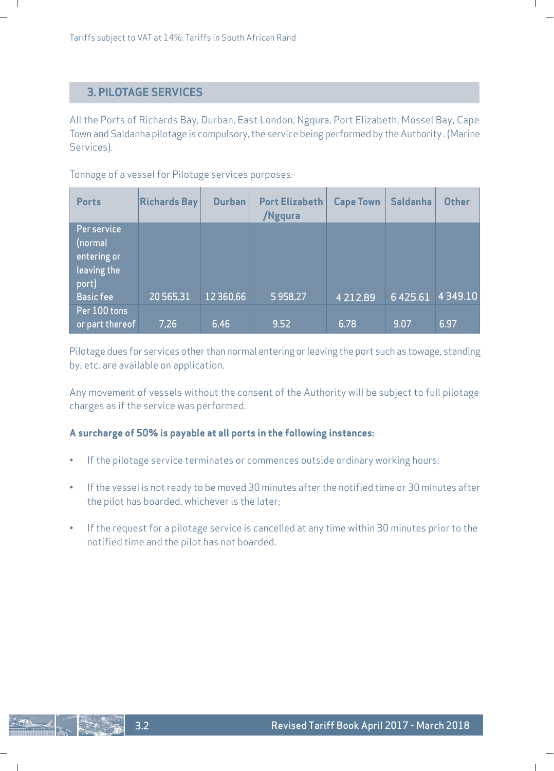# **3. PILOTAGE SERVICES**

All the Ports of Richards Bay, Durban, East London, Ngqura, Port Elizabeth, Mossel Bay, Cape Town and Saldanha pilotage is compulsory, the service being performed by the Authority . (Marine Services).

Tonnage of a vessel for Pilotage services purposes:

| <b>Ports</b>                                                                      | <b>Richards Bay</b> | <b>Durban</b> | <b>Port Elizabeth</b><br>/Ngqura | <b>Cape Town</b> | <b>Saldanha</b> | <b>Other</b> |
|-----------------------------------------------------------------------------------|---------------------|---------------|----------------------------------|------------------|-----------------|--------------|
| Per service<br>(normal<br>entering or<br>leaving the<br>port)<br><b>Basic fee</b> | 20 565,31           | 12 3 60, 66   | 5958,27                          | 4 2 1 2 . 8 9    | 6 4 2 5 . 6 1   | 4349.10      |
| Per 100 tons<br>or part thereof                                                   | 7.26                | 6.46          | 9.52                             | 6.78             | 9.07            | 6.97         |

Pilotage dues for services other than normal entering or leaving the port such as towage, standing by, etc. are available on application.

Any movement of vessels without the consent of the Authority will be subject to full pilotage charges as if the service was performed.

### **A surcharge of 50% is payable at all ports in the following instances:**

- If the pilotage service terminates or commences outside ordinary working hours;
- If the vessel is not ready to be moved 30 minutes after the notified time or 30 minutes after the pilot has boarded, whichever is the later;
- If the request for a pilotage service is cancelled at any time within 30 minutes prior to the notified time and the pilot has not boarded.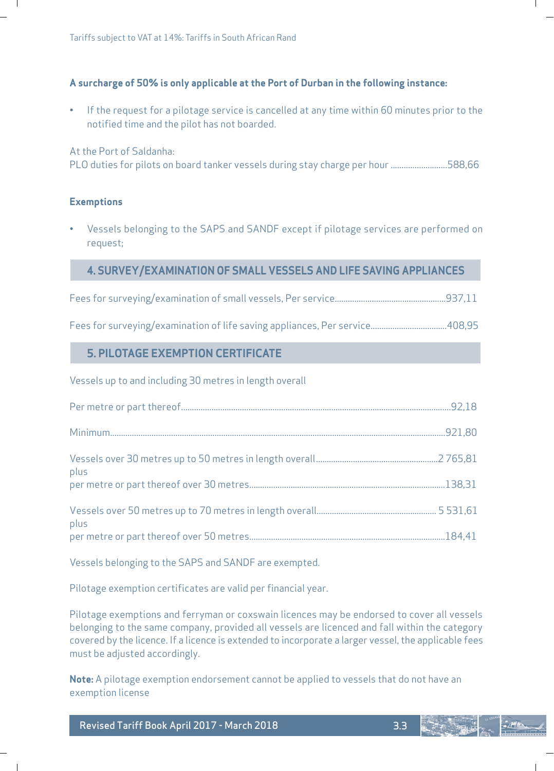### **A surcharge of 50% is only applicable at the Port of Durban in the following instance:**

• If the request for a pilotage service is cancelled at any time within 60 minutes prior to the notified time and the pilot has not boarded.

### At the Port of Saldanha:

PLO duties for pilots on board tanker vessels during stay charge per hour ..........................588,66

### **Exemptions**

 $\mathbf{I}$ 

 $\overline{\phantom{a}}$ 

• Vessels belonging to the SAPS and SANDF except if pilotage services are performed on request;

### **4. SURVEY/EXAMINATION OF SMALL VESSELS AND LIFE SAVING APPLIANCES**

Fees for surveying/examination of small vessels, Per service...................................................937,11

Fees for surveying/examination of life saving appliances, Per service...................................408,95

# **5. PILOTAGE EXEMPTION CERTIFICATE**

Vessels up to and including 30 metres in length overall

| plus |  |
|------|--|
|      |  |
| plus |  |
|      |  |

Vessels belonging to the SAPS and SANDF are exempted.

Pilotage exemption certificates are valid per financial year.

Pilotage exemptions and ferryman or coxswain licences may be endorsed to cover all vessels belonging to the same company, provided all vessels are licenced and fall within the category covered by the licence. If a licence is extended to incorporate a larger vessel, the applicable fees must be adjusted accordingly.

**Note:** A pilotage exemption endorsement cannot be applied to vessels that do not have an exemption license

Revised Tariff Book April 2017 - March 2018 3.3

 $-1$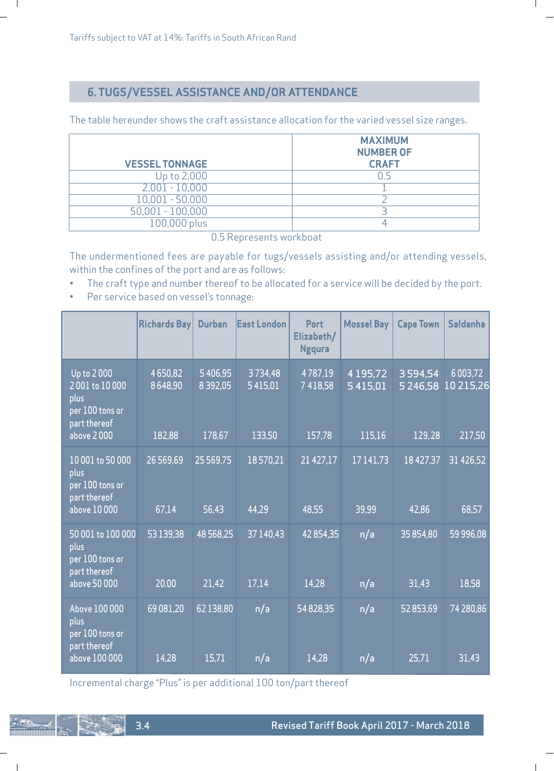$\blacksquare$ 

# **6. TUGS/VESSEL ASSISTANCE AND/OR ATTENDANCE**

The table hereunder shows the craft assistance allocation for the varied vessel size ranges.

ı

| <b>VESSEL TONNAGE</b> | <b>MAXIMUM</b><br><b>NUMBER OF</b><br><b>CRAFT</b> |
|-----------------------|----------------------------------------------------|
| Up to 2,000           |                                                    |
| $2,001 - 10,000$      |                                                    |
| $10,001 - 50,000$     |                                                    |
| $50,001 - 100,000$    |                                                    |
| 100,000 plus          |                                                    |

0.5 Represents workboat

The undermentioned fees are payable for tugs/vessels assisting and/or attending vessels, within the confines of the port and are as follows:

- The craft type and number thereof to be allocated for a service will be decided by the port.
- Per service based on vessel's tonnage:

|                                                                                      | <b>Richards Bay</b>          | <b>Durban</b>                  | <b>East London</b>           | Port<br>Elizabeth/<br><b>Ngqura</b> | Mossel Bay                          | <b>Cape Town</b>             | <b>Saldanha</b>                      |
|--------------------------------------------------------------------------------------|------------------------------|--------------------------------|------------------------------|-------------------------------------|-------------------------------------|------------------------------|--------------------------------------|
| Up to 2000<br>2001 to 10000<br>plus<br>per 100 tons or<br>part thereof<br>above 2000 | 4650,82<br>8648,90<br>182,88 | 5406,95<br>8 39 2,05<br>178,67 | 3734,48<br>5415,01<br>133,50 | 4787,19<br>7418,58<br>157,78        | 4 1 9 5 , 7 2<br>5 415.01<br>115,16 | 3594.54<br>5246,58<br>129,28 | 6 0 0 3 , 7 2<br>10 215,26<br>217,50 |
| 10 001 to 50 000<br>plus<br>per 100 tons or<br>part thereof<br>above 10 000          | 26 569,69<br>67,14           | 25 569,75<br>56,43             | 18570,21<br>44,29            | 21 427,17<br>48,55                  | 17141.73<br>39,99                   | 18 427,37<br>42,86           | 31 426,52<br>68,57                   |
| 50 001 to 100 000<br>plus<br>per 100 tons or<br>part thereof<br>above 50 000         | 53 139,38<br>20.00           | 48568,25<br>21,42              | 37 140,43<br>17,14           | 42854,35<br>14,28                   | n/a<br>n/a                          | 35 854,80<br>31,43           | 59 996,08<br>18,58                   |
| Above 100 000<br>plus<br>per 100 tons or<br>part thereof<br>above 100 000            | 69 081,20<br>14,28           | 62 138,80<br>15,71             | n/a<br>n/a                   | 54 828,35<br>14,28                  | n/a<br>n/a                          | 52 853,69<br>25,71           | 74 280,86<br>31,43                   |

Incremental charge "Plus" is per additional 100 ton/part thereof

 $\mathbf{I}$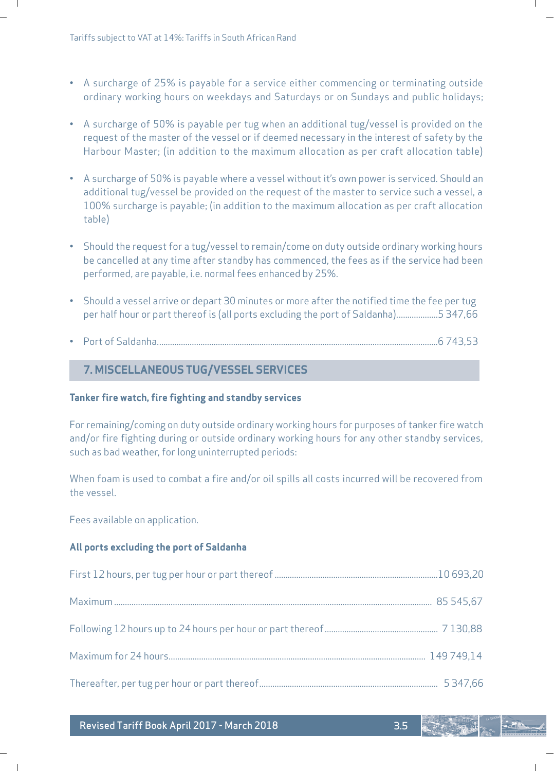- A surcharge of 25% is payable for a service either commencing or terminating outside ordinary working hours on weekdays and Saturdays or on Sundays and public holidays;
- A surcharge of 50% is payable per tug when an additional tug/vessel is provided on the request of the master of the vessel or if deemed necessary in the interest of safety by the Harbour Master; (in addition to the maximum allocation as per craft allocation table)
- A surcharge of 50% is payable where a vessel without it's own power is serviced. Should an additional tug/vessel be provided on the request of the master to service such a vessel, a 100% surcharge is payable; (in addition to the maximum allocation as per craft allocation table)
- Should the request for a tug/vessel to remain/come on duty outside ordinary working hours be cancelled at any time after standby has commenced, the fees as if the service had been performed, are payable, i.e. normal fees enhanced by 25%.
- Should a vessel arrive or depart 30 minutes or more after the notified time the fee per tug per half hour or part thereof is (all ports excluding the port of Saldanha)...................5 347,66
- Port of Saldanha.................................................................................................................................6 743,53

# **7. MISCELLANEOUS TUG/VESSEL SERVICES**

#### **Tanker fire watch, fire fighting and standby services**

For remaining/coming on duty outside ordinary working hours for purposes of tanker fire watch and/or fire fighting during or outside ordinary working hours for any other standby services, such as bad weather, for long uninterrupted periods:

When foam is used to combat a fire and/or oil spills all costs incurred will be recovered from the vessel.

Fees available on application.

#### **All ports excluding the port of Saldanha**

Revised Tariff Book April 2017 - March 2018 3.5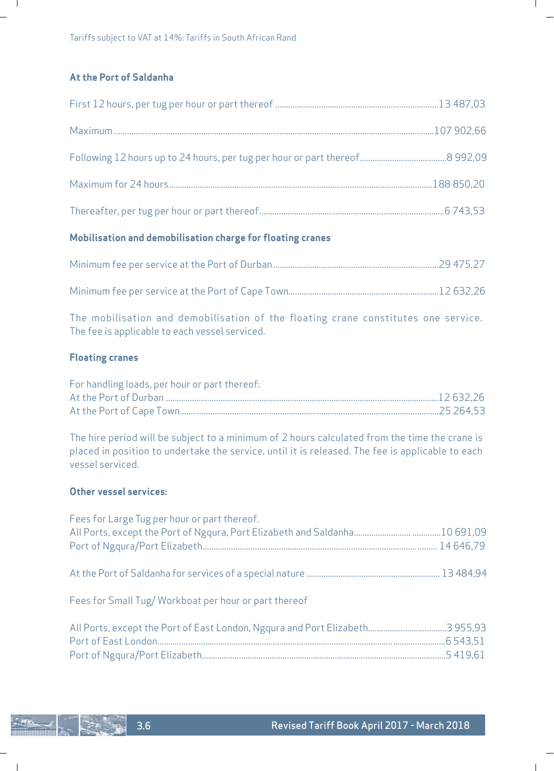# **At the Port of Saldanha**

 $\blacksquare$ 

 $\mathbf{I}$ 

L

# **Mobilisation and demobilisation charge for floating cranes**

Minimum fee per service at the Port of Cape Town.....................................................................12 632,26 The mobilisation and demobilisation of the floating crane constitutes one service.

The fee is applicable to each vessel serviced.

### **Floating cranes**

| For handling loads, per hour or part thereof: |  |
|-----------------------------------------------|--|
|                                               |  |
|                                               |  |

The hire period will be subject to a minimum of 2 hours calculated from the time the crane is placed in position to undertake the service, until it is released. The fee is applicable to each vessel serviced.

### **Other vessel services:**

| Fees for Large Tug per hour or part thereof.         |  |
|------------------------------------------------------|--|
|                                                      |  |
| Fees for Small Tug/Workboat per hour or part thereof |  |
|                                                      |  |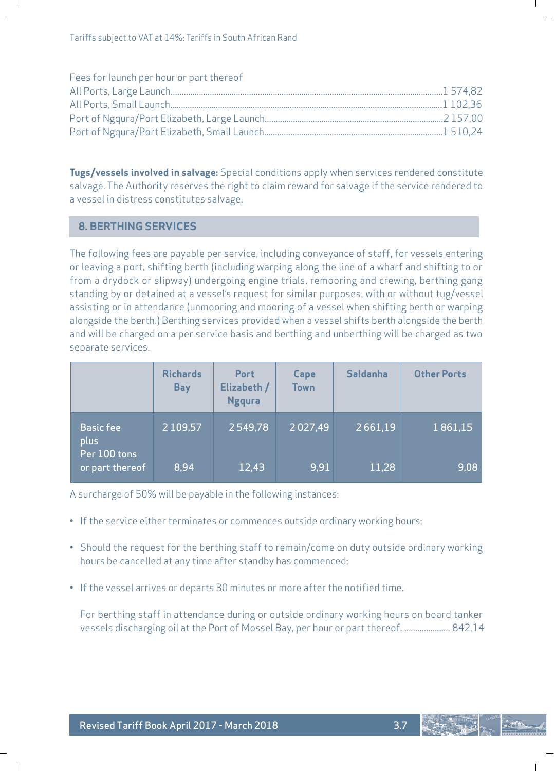| Fees for launch per hour or part thereof |  |
|------------------------------------------|--|
|                                          |  |
|                                          |  |
|                                          |  |
|                                          |  |

**Tugs/vessels involved in salvage:** Special conditions apply when services rendered constitute salvage. The Authority reserves the right to claim reward for salvage if the service rendered to a vessel in distress constitutes salvage.

### **8. BERTHING SERVICES**

The following fees are payable per service, including conveyance of staff, for vessels entering or leaving a port, shifting berth (including warping along the line of a wharf and shifting to or from a drydock or slipway) undergoing engine trials, remooring and crewing, berthing gang standing by or detained at a vessel's request for similar purposes, with or without tug/vessel assisting or in attendance (unmooring and mooring of a vessel when shifting berth or warping alongside the berth.) Berthing services provided when a vessel shifts berth alongside the berth and will be charged on a per service basis and berthing and unberthing will be charged as two separate services.

|                                          | <b>Richards</b><br><b>Bay</b> | <b>Port</b><br>Elizabeth /<br><b>Ngqura</b> | Cape<br><b>Town</b> | Saldanha | <b>Other Ports</b> |
|------------------------------------------|-------------------------------|---------------------------------------------|---------------------|----------|--------------------|
| <b>Basic fee</b><br>plus<br>Per 100 tons | 2 1 0 9 . 5 7                 | 2549.78                                     | 2027.49             | 2661.19  | 1861.15            |
| or part thereof                          | 8,94                          | 12,43                                       | 9.91                | 11,28    | 9,08               |

A surcharge of 50% will be payable in the following instances:

- If the service either terminates or commences outside ordinary working hours;
- Should the request for the berthing staff to remain/come on duty outside ordinary working hours be cancelled at any time after standby has commenced;
- If the vessel arrives or departs 30 minutes or more after the notified time.

For berthing staff in attendance during or outside ordinary working hours on board tanker vessels discharging oil at the Port of Mossel Bay, per hour or part thereof. ..................... 842,14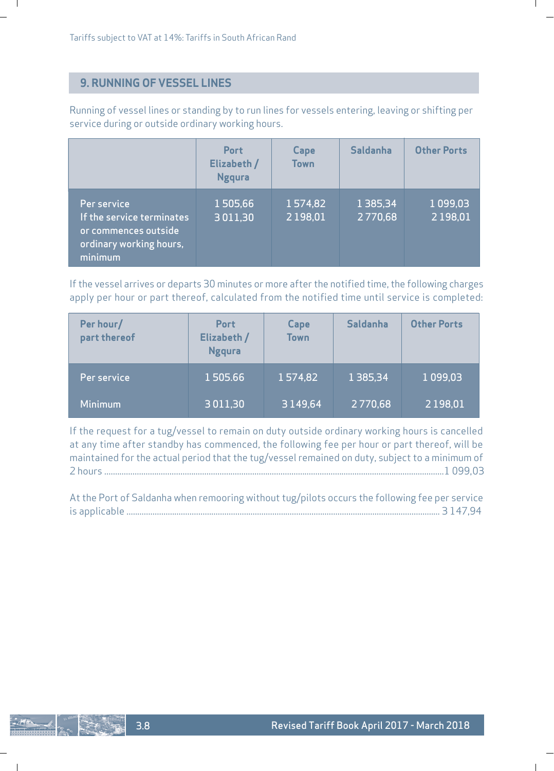# **9. RUNNING OF VESSEL LINES**

Running of vessel lines or standing by to run lines for vessels entering, leaving or shifting per service during or outside ordinary working hours.

|                                                                                                        | <b>Port</b><br>Elizabeth /<br><b>Ngqura</b> | Cape<br><b>Town</b>     | Saldanha                 | <b>Other Ports</b>             |
|--------------------------------------------------------------------------------------------------------|---------------------------------------------|-------------------------|--------------------------|--------------------------------|
| Per service<br>If the service terminates<br>or commences outside<br>ordinary working hours,<br>minimum | 1505.66<br>3011.30                          | 1574.82<br>2 1 9 8 .0 1 | 1 3 8 5 . 3 4<br>2770.68 | 1 0 9 9 . 0 3<br>2 1 9 8 . 0 1 |

If the vessel arrives or departs 30 minutes or more after the notified time, the following charges apply per hour or part thereof, calculated from the notified time until service is completed:

| Per hour/<br>part thereof | Port<br>Elizabeth /<br><b>Ngqura</b> | Cape<br><b>Town</b> | <b>Saldanha</b> | <b>Other Ports</b> |
|---------------------------|--------------------------------------|---------------------|-----------------|--------------------|
| Per service               | 1505.66                              | 1574,82             | 1 3 8 5 . 3 4   | 1 0 9 9 . 0 3      |
| <b>Minimum</b>            | 3011,30                              | 3149.64             | 2770,68         | 2 1 9 8 , 0 1      |

If the request for a tug/vessel to remain on duty outside ordinary working hours is cancelled at any time after standby has commenced, the following fee per hour or part thereof, will be maintained for the actual period that the tug/vessel remained on duty, subject to a minimum of 2 hours ............................................................................................................................................................1 099,03

At the Port of Saldanha when remooring without tug/pilots occurs the following fee per service is applicable ................................................................................................................................................ 3 147,94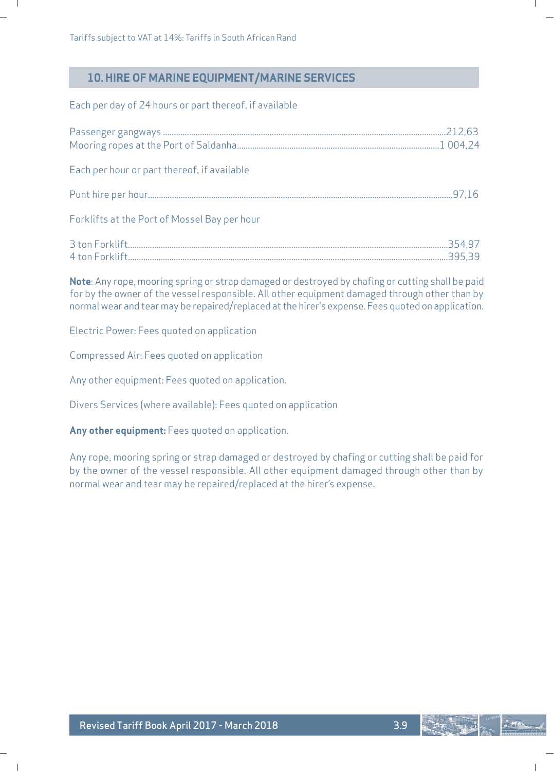$\overline{\phantom{a}}$ 

# **10. HIRE OF MARINE EQUIPMENT/MARINE SERVICES**

Each per day of 24 hours or part thereof, if available

| Each per hour or part thereof, if available  |  |
|----------------------------------------------|--|
|                                              |  |
| Forklifts at the Port of Mossel Bay per hour |  |
|                                              |  |

**Note**: Any rope, mooring spring or strap damaged or destroyed by chafing or cutting shall be paid for by the owner of the vessel responsible. All other equipment damaged through other than by normal wear and tear may be repaired/replaced at the hirer's expense. Fees quoted on application.

Electric Power: Fees quoted on application

Compressed Air: Fees quoted on application

Any other equipment: Fees quoted on application.

Divers Services (where available): Fees quoted on application

**Any other equipment:** Fees quoted on application.

Any rope, mooring spring or strap damaged or destroyed by chafing or cutting shall be paid for by the owner of the vessel responsible. All other equipment damaged through other than by normal wear and tear may be repaired/replaced at the hirer's expense.

 $-10$ 

ı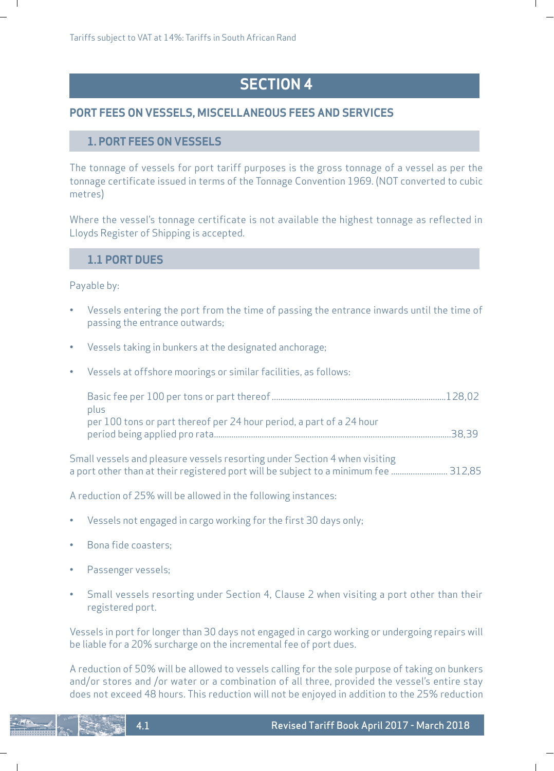# **SECTION 4**

ı

# **PORT FEES ON VESSELS, MISCELLANEOUS FEES AND SERVICES**

### **1. PORT FEES ON VESSELS**

The tonnage of vessels for port tariff purposes is the gross tonnage of a vessel as per the tonnage certificate issued in terms of the Tonnage Convention 1969. (NOT converted to cubic metres)

Where the vessel's tonnage certificate is not available the highest tonnage as reflected in Lloyds Register of Shipping is accepted.

### **1.1 PORT DUES**

### Payable by:

 $\mathbf{I}$ 

- Vessels entering the port from the time of passing the entrance inwards until the time of passing the entrance outwards;
- Vessels taking in bunkers at the designated anchorage;
- Vessels at offshore moorings or similar facilities, as follows:

| plus                                                                 |  |
|----------------------------------------------------------------------|--|
| per 100 tons or part thereof per 24 hour period, a part of a 24 hour |  |
|                                                                      |  |
|                                                                      |  |

Small vessels and pleasure vessels resorting under Section 4 when visiting a port other than at their registered port will be subject to a minimum fee .......................... 312,85

A reduction of 25% will be allowed in the following instances:

- Vessels not engaged in cargo working for the first 30 days only;
- Bona fide coasters;
- Passenger vessels;

4.1

 $\overline{\phantom{a}}$ 

• Small vessels resorting under Section 4, Clause 2 when visiting a port other than their registered port.

Vessels in port for longer than 30 days not engaged in cargo working or undergoing repairs will be liable for a 20% surcharge on the incremental fee of port dues.

A reduction of 50% will be allowed to vessels calling for the sole purpose of taking on bunkers and/or stores and /or water or a combination of all three, provided the vessel's entire stay does not exceed 48 hours. This reduction will not be enjoyed in addition to the 25% reduction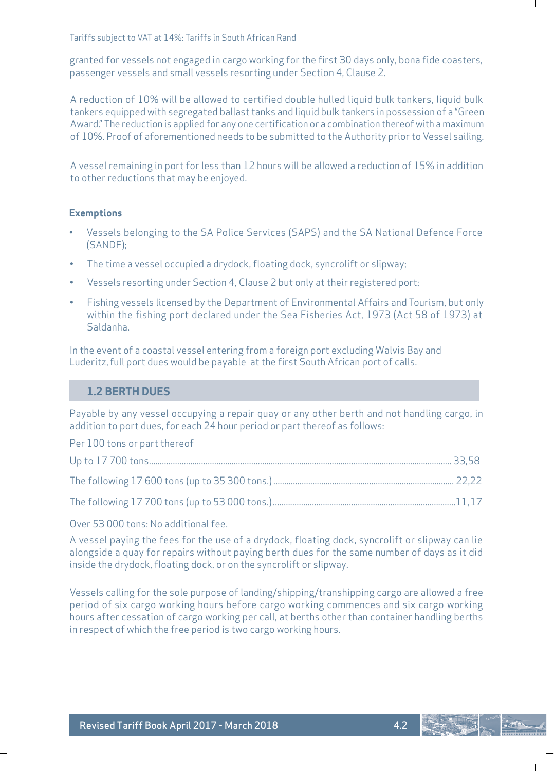Tariffs subject to VAT at 14%: Tariffs in South African Rand

granted for vessels not engaged in cargo working for the first 30 days only, bona fide coasters, passenger vessels and small vessels resorting under Section 4, Clause 2.

A reduction of 10% will be allowed to certified double hulled liquid bulk tankers, liquid bulk tankers equipped with segregated ballast tanks and liquid bulk tankers in possession of a "Green Award." The reduction is applied for any one certification or a combination thereof with a maximum of 10%. Proof of aforementioned needs to be submitted to the Authority prior to Vessel sailing.

A vessel remaining in port for less than 12 hours will be allowed a reduction of 15% in addition to other reductions that may be enjoyed.

#### **Exemptions**

- Vessels belonging to the SA Police Services (SAPS) and the SA National Defence Force (SANDF);
- The time a vessel occupied a drydock, floating dock, syncrolift or slipway;
- Vessels resorting under Section 4, Clause 2 but only at their registered port;
- Fishing vessels licensed by the Department of Environmental Affairs and Tourism, but only within the fishing port declared under the Sea Fisheries Act, 1973 (Act 58 of 1973) at Saldanha.

In the event of a coastal vessel entering from a foreign port excluding Walvis Bay and Luderitz, full port dues would be payable at the first South African port of calls.

### **1.2 BERTH DUES**

Payable by any vessel occupying a repair quay or any other berth and not handling cargo, in addition to port dues, for each 24 hour period or part thereof as follows:

Per 100 tons or part thereof

Over 53 000 tons: No additional fee.

A vessel paying the fees for the use of a drydock, floating dock, syncrolift or slipway can lie alongside a quay for repairs without paying berth dues for the same number of days as it did inside the drydock, floating dock, or on the syncrolift or slipway.

Vessels calling for the sole purpose of landing/shipping/transhipping cargo are allowed a free period of six cargo working hours before cargo working commences and six cargo working hours after cessation of cargo working per call, at berths other than container handling berths in respect of which the free period is two cargo working hours.

 $\overline{\phantom{a}}$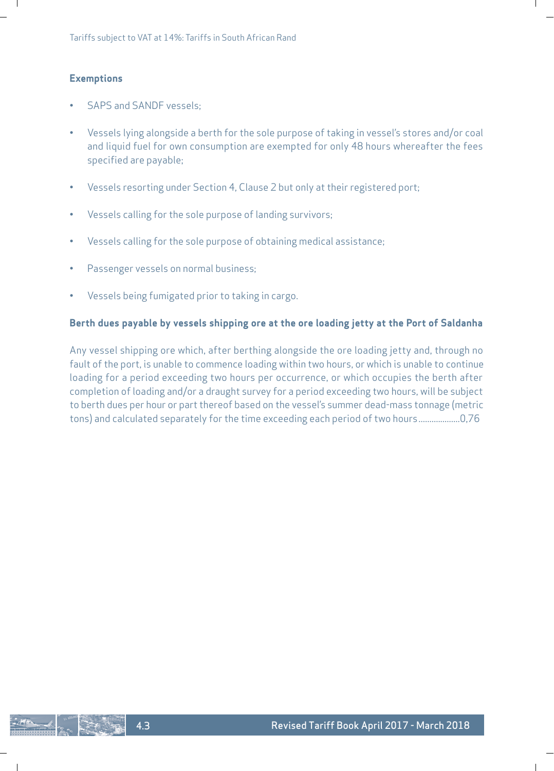### **Exemptions**

 $\mathbf{I}$ 

- SAPS and SANDF vessels;
- Vessels lying alongside a berth for the sole purpose of taking in vessel's stores and/or coal and liquid fuel for own consumption are exempted for only 48 hours whereafter the fees specified are payable;
- Vessels resorting under Section 4, Clause 2 but only at their registered port;
- Vessels calling for the sole purpose of landing survivors;
- Vessels calling for the sole purpose of obtaining medical assistance;
- Passenger vessels on normal business;

4.3

 $\overline{\phantom{a}}$ 

• Vessels being fumigated prior to taking in cargo.

### **Berth dues payable by vessels shipping ore at the ore loading jetty at the Port of Saldanha**

Any vessel shipping ore which, after berthing alongside the ore loading jetty and, through no fault of the port, is unable to commence loading within two hours, or which is unable to continue loading for a period exceeding two hours per occurrence, or which occupies the berth after completion of loading and/or a draught survey for a period exceeding two hours, will be subject to berth dues per hour or part thereof based on the vessel's summer dead-mass tonnage (metric tons) and calculated separately for the time exceeding each period of two hours...................0,76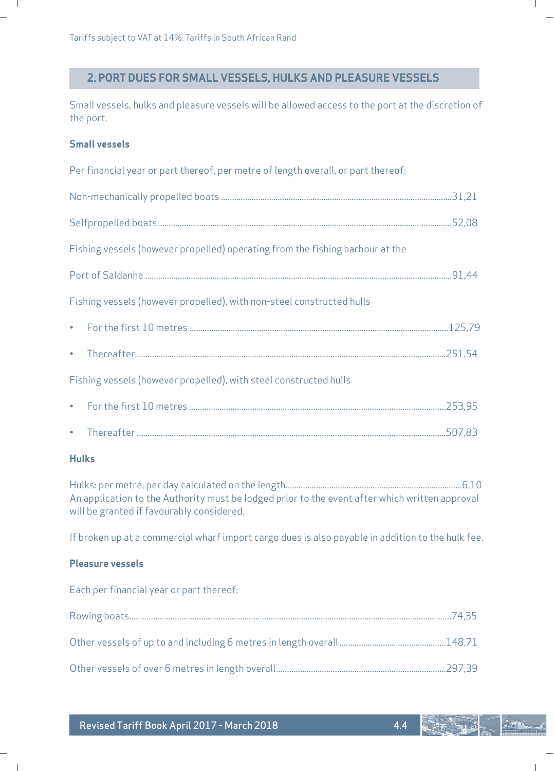# **2. PORT DUES FOR SMALL VESSELS, HULKS AND PLEASURE VESSELS**

Small vessels, hulks and pleasure vessels will be allowed access to the port at the discretion of the port.

 $\mathbf{L}$ 

# **Small vessels**

Л.

|   | Per financial year or part thereof, per metre of length overall, or part thereof:                                                           |  |
|---|---------------------------------------------------------------------------------------------------------------------------------------------|--|
|   |                                                                                                                                             |  |
|   |                                                                                                                                             |  |
|   | Fishing vessels (however propelled) operating from the fishing harbour at the                                                               |  |
|   |                                                                                                                                             |  |
|   | Fishing vessels (however propelled), with non-steel constructed hulls                                                                       |  |
|   |                                                                                                                                             |  |
| ٠ |                                                                                                                                             |  |
|   | Fishing vessels (however propelled), with steel constructed hulls                                                                           |  |
|   |                                                                                                                                             |  |
|   |                                                                                                                                             |  |
|   | <b>Hulks</b>                                                                                                                                |  |
|   | An application to the Authority must be lodged prior to the event after which written approval<br>will be granted if favourably considered. |  |
|   | If broken up at a commercial wharf import cargo dues is also payable in addition to the hulk fee.                                           |  |

# **Pleasure vessels**

 $\sim 1$ 

Each per financial year or part thereof:

| Revised Tariff Book April 2017 - March 2018 |  |  |  |
|---------------------------------------------|--|--|--|
|---------------------------------------------|--|--|--|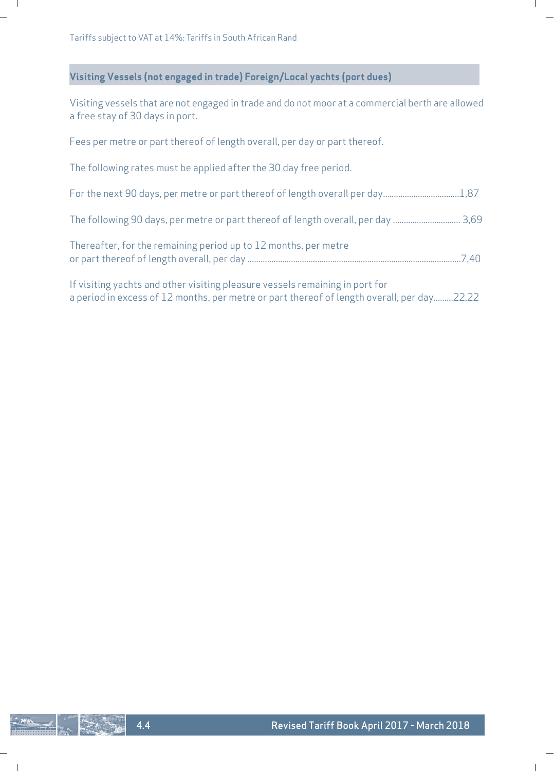$\blacksquare$ 

# **Visiting Vessels (not engaged in trade) Foreign/Local yachts (port dues)**

Visiting vessels that are not engaged in trade and do not moor at a commercial berth are allowed a free stay of 30 days in port.

L

L

Fees per metre or part thereof of length overall, per day or part thereof.

The following rates must be applied after the 30 day free period.

| For the next 90 days, per metre or part thereof of length overall per day1,87 |  |
|-------------------------------------------------------------------------------|--|
|                                                                               |  |
| Thereafter, for the remaining period up to 12 months, per metre               |  |
| . If wisiting weekte and ather wisiting along weekende compinion in part for  |  |

If visiting yachts and other visiting pleasure vessels remaining in port for a period in excess of 12 months, per metre or part thereof of length overall, per day.........22,22

 $\mathsf{l}$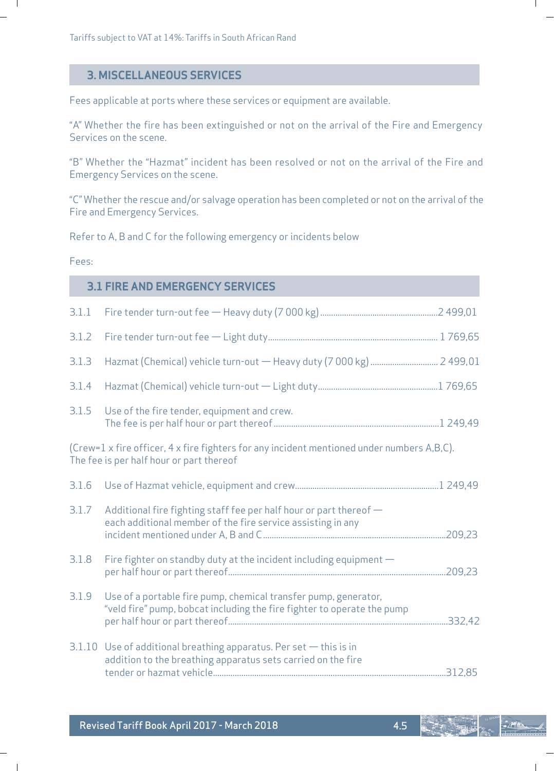### **3. MISCELLANEOUS SERVICES**

Fees applicable at ports where these services or equipment are available.

"A" Whether the fire has been extinguished or not on the arrival of the Fire and Emergency Services on the scene.

"B" Whether the "Hazmat" incident has been resolved or not on the arrival of the Fire and Emergency Services on the scene.

"C" Whether the rescue and/or salvage operation has been completed or not on the arrival of the Fire and Emergency Services.

Refer to A, B and C for the following emergency or incidents below

#### Fees:

 $\blacksquare$ 

 $\sim$  1

### **3.1 FIRE AND EMERGENCY SERVICES**

| 3.1.1 |                                                                                                                                            |  |
|-------|--------------------------------------------------------------------------------------------------------------------------------------------|--|
| 3.1.2 |                                                                                                                                            |  |
| 3.1.3 |                                                                                                                                            |  |
| 3.1.4 |                                                                                                                                            |  |
| 3.1.5 | Use of the fire tender, equipment and crew.                                                                                                |  |
|       | (Crew=1 x fire officer, 4 x fire fighters for any incident mentioned under numbers A,B,C).<br>The fee is per half hour or part thereof     |  |
| 3.1.6 |                                                                                                                                            |  |
| 3.1.7 | Additional fire fighting staff fee per half hour or part thereof -<br>each additional member of the fire service assisting in any          |  |
| 3.1.8 | Fire fighter on standby duty at the incident including equipment -                                                                         |  |
| 3.1.9 | Use of a portable fire pump, chemical transfer pump, generator,<br>"veld fire" pump, bobcat including the fire fighter to operate the pump |  |
|       | $3.1.10$ Use of additional breathing apparatus. Per set $-$ this is in<br>addition to the breathing apparatus sets carried on the fire     |  |

Ш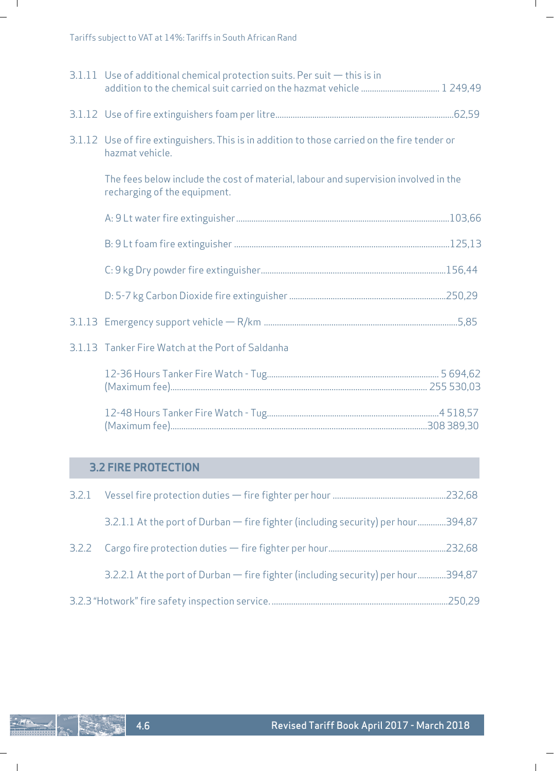| $3.1.11$ Use of additional chemical protection suits. Per suit $-$ this is in                                       |  |
|---------------------------------------------------------------------------------------------------------------------|--|
|                                                                                                                     |  |
| 3.1.12 Use of fire extinguishers. This is in addition to those carried on the fire tender or<br>hazmat vehicle.     |  |
| The fees below include the cost of material, labour and supervision involved in the<br>recharging of the equipment. |  |
|                                                                                                                     |  |
|                                                                                                                     |  |
|                                                                                                                     |  |
|                                                                                                                     |  |
|                                                                                                                     |  |
| 3.1.13 Tanker Fire Watch at the Port of Saldanha                                                                    |  |
|                                                                                                                     |  |
|                                                                                                                     |  |

# **3.2 FIRE PROTECTION**

| 3.2.1.1 At the port of Durban - fire fighter (including security) per hour394,87 |  |
|----------------------------------------------------------------------------------|--|
|                                                                                  |  |
| 3.2.2.1 At the port of Durban — fire fighter (including security) per hour394,87 |  |
|                                                                                  |  |

 $\sim$  1

 $\mathbf{L}$ 

 $\mathbb{R}$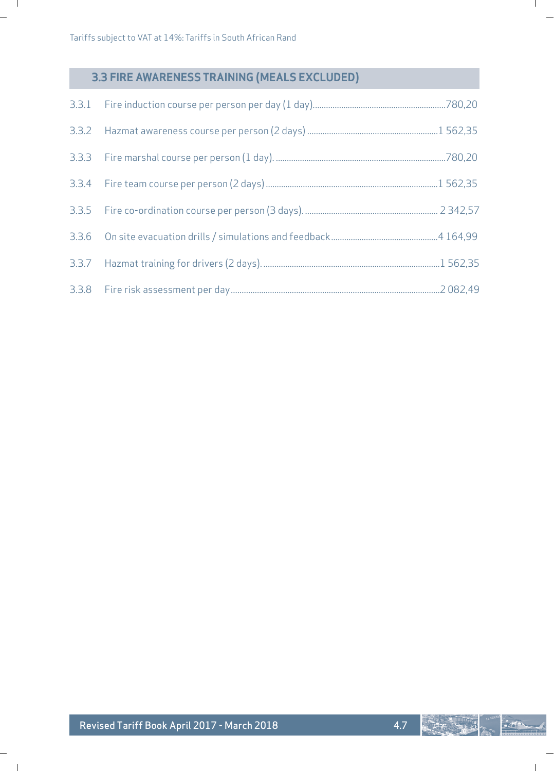$\Box$ 

 $\sim$  1

# **3.3 FIRE AWARENESS TRAINING (MEALS EXCLUDED)**

 $\mathbb{L}$ 

 $\mathbf{L}$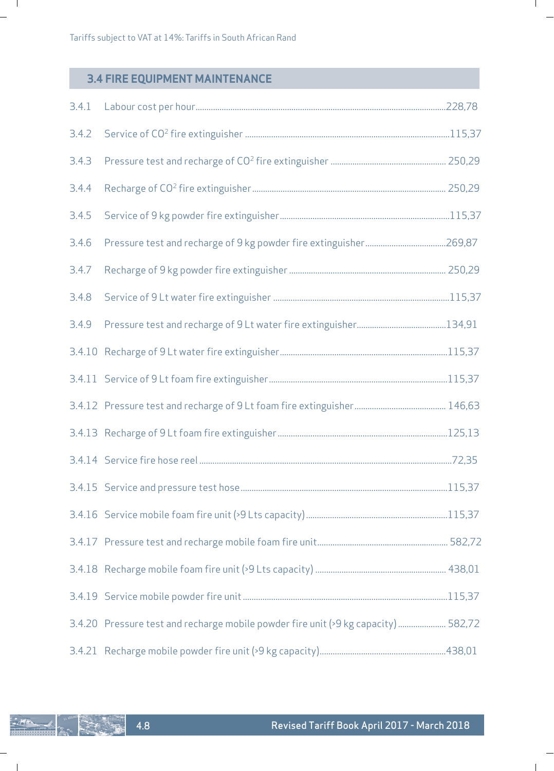# **3.4 FIRE EQUIPMENT MAINTENANCE**

4.8

。<br>"谢

**ERA** 

 $\sim$  1

| 3.4.1 |                                                                                    |  |
|-------|------------------------------------------------------------------------------------|--|
| 3.4.2 |                                                                                    |  |
| 3.4.3 |                                                                                    |  |
| 3.4.4 |                                                                                    |  |
| 3.4.5 |                                                                                    |  |
| 3.4.6 |                                                                                    |  |
| 3.4.7 |                                                                                    |  |
| 3.4.8 |                                                                                    |  |
| 3.4.9 |                                                                                    |  |
|       |                                                                                    |  |
|       |                                                                                    |  |
|       |                                                                                    |  |
|       |                                                                                    |  |
|       |                                                                                    |  |
|       |                                                                                    |  |
|       |                                                                                    |  |
|       |                                                                                    |  |
|       |                                                                                    |  |
|       |                                                                                    |  |
|       | 3.4.20 Pressure test and recharge mobile powder fire unit (>9 kg capacity)  582,72 |  |
|       |                                                                                    |  |

 $\mathbf{L}$ 

 $\mathbb{R}$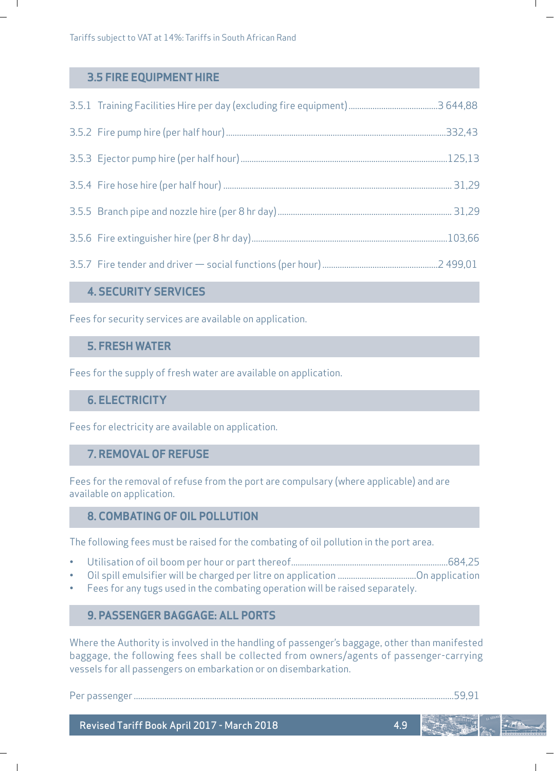# **3.5 FIRE EQUIPMENT HIRE**

 $\blacksquare$ 

# **4. SECURITY SERVICES**

Fees for security services are available on application.

# **5. FRESH WATER**

Fees for the supply of fresh water are available on application.

# **6. ELECTRICITY**

Fees for electricity are available on application.

# **7. REMOVAL OF REFUSE**

Fees for the removal of refuse from the port are compulsary (where applicable) and are available on application.

# **8. COMBATING OF OIL POLLUTION**

The following fees must be raised for the combating of oil pollution in the port area.

- Utilisation of oil boom per hour or part thereof........................................................................684,25
- Oil spill emulsifier will be charged per litre on application ....................................On application
- Fees for any tugs used in the combating operation will be raised separately.

# **9. PASSENGER BAGGAGE: ALL PORTS**

Where the Authority is involved in the handling of passenger's baggage, other than manifested baggage, the following fees shall be collected from owners/agents of passenger-carrying vessels for all passengers on embarkation or on disembarkation.

Per passenger ...................................................................................................................................................59,91

 $\overline{\phantom{a}}$ 

ı

4.9

Revised Tariff Book April 2017 - March 2018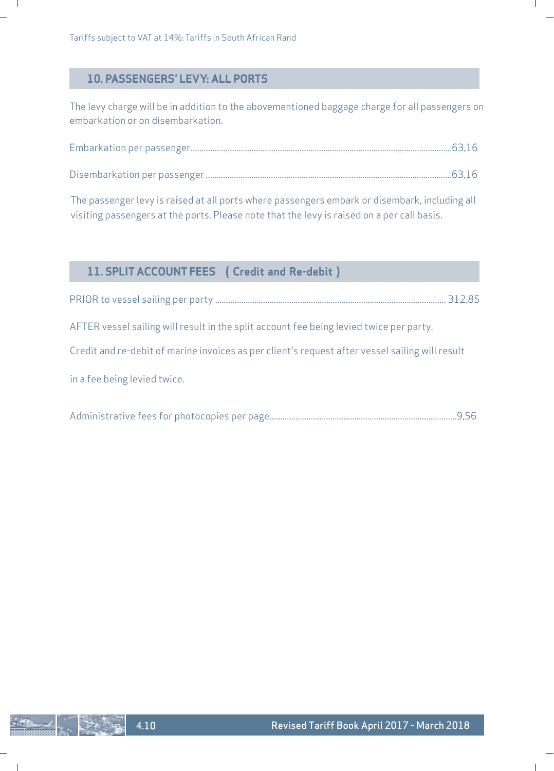# **10. PASSENGERS' LEVY: ALL PORTS**

The levy charge will be in addition to the abovementioned baggage charge for all passengers on embarkation or on disembarkation.

ı

The passenger levy is raised at all ports where passengers embark or disembark, including all visiting passengers at the ports. Please note that the levy is raised on a per call basis.

| 11. SPLIT ACCOUNT FEES ( Credit and Re-debit)                                                   |        |
|-------------------------------------------------------------------------------------------------|--------|
|                                                                                                 | 312.85 |
| AFTER vessel sailing will result in the split account fee being levied twice per party.         |        |
| Credit and re-debit of marine invoices as per client's request after vessel sailing will result |        |
| in a fee being levied twice.                                                                    |        |

|--|--|--|--|--|--|

 $\mathsf{l}$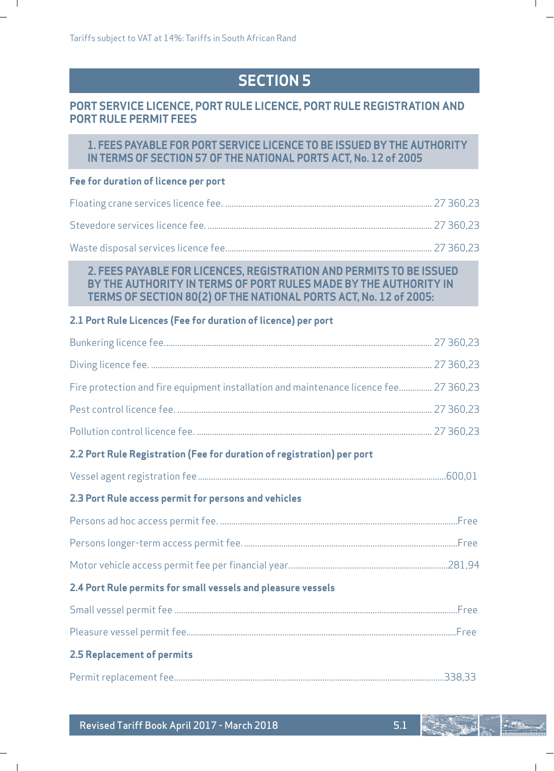# **SECTION 5**

# **PORT SERVICE LICENCE, PORT RULE LICENCE, PORT RULE REGISTRATION AND PORT RULE PERMIT FEES**

# **1. FEES PAYABLE FOR PORT SERVICE LICENCE TO BE ISSUED BY THE AUTHORITY IN TERMS OF SECTION 57 OF THE NATIONAL PORTS ACT, No. 12 of 2005**

### **Fee for duration of licence per port**

 $\mathbf{I}$ 

 $\blacksquare$ 

# **2. FEES PAYABLE FOR LICENCES, REGISTRATION AND PERMITS TO BE ISSUED BY THE AUTHORITY IN TERMS OF PORT RULES MADE BY THE AUTHORITY IN TERMS OF SECTION 80(2) OF THE NATIONAL PORTS ACT, No. 12 of 2005:**

### **2.1 Port Rule Licences (Fee for duration of licence) per port**

| Fire protection and fire equipment installation and maintenance licence fee 27 360,23 |  |
|---------------------------------------------------------------------------------------|--|
|                                                                                       |  |
|                                                                                       |  |
| 2.2 Port Rule Registration (Fee for duration of registration) per port                |  |
|                                                                                       |  |
| 2.3 Port Rule access permit for persons and vehicles                                  |  |
|                                                                                       |  |
|                                                                                       |  |
|                                                                                       |  |
| 2.4 Port Rule permits for small vessels and pleasure vessels                          |  |
|                                                                                       |  |
|                                                                                       |  |
| 2.5 Replacement of permits                                                            |  |
|                                                                                       |  |

 $-275$ 

L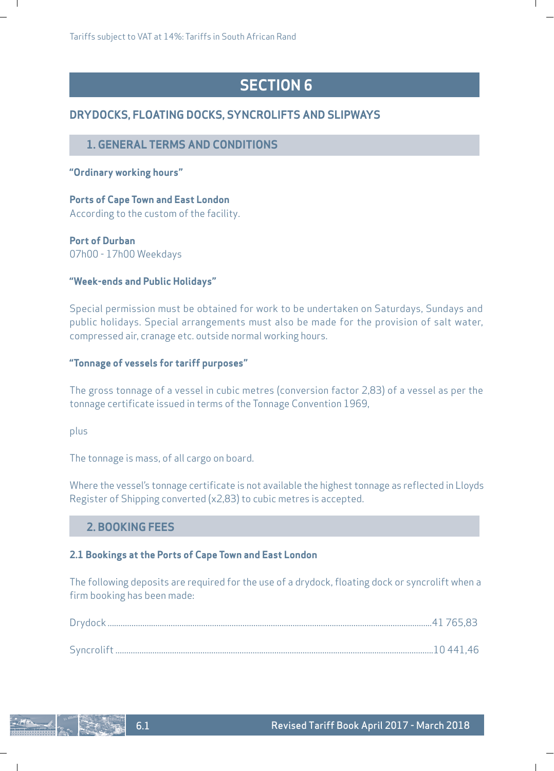Tariffs subject to VAT at 14%: Tariffs in South African Rand

# **SECTION 6**

ı

# **DRYDOCKS, FLOATING DOCKS, SYNCROLIFTS AND SLIPWAYS**

# **1. GENERAL TERMS AND CONDITIONS**

### **"Ordinary working hours"**

 $\blacksquare$ 

# **Ports of Cape Town and East London** According to the custom of the facility.

# **Port of Durban**

07h00 - 17h00 Weekdays

### **"Week-ends and Public Holidays"**

Special permission must be obtained for work to be undertaken on Saturdays, Sundays and public holidays. Special arrangements must also be made for the provision of salt water, compressed air, cranage etc. outside normal working hours.

# **"Tonnage of vessels for tariff purposes"**

The gross tonnage of a vessel in cubic metres (conversion factor 2,83) of a vessel as per the tonnage certificate issued in terms of the Tonnage Convention 1969,

plus

The tonnage is mass, of all cargo on board.

Where the vessel's tonnage certificate is not available the highest tonnage as reflected in Lloyds Register of Shipping converted (x2,83) to cubic metres is accepted.

# **2. BOOKING FEES**

### **2.1 Bookings at the Ports of Cape Town and East London**

The following deposits are required for the use of a drydock, floating dock or syncrolift when a firm booking has been made:

 $\overline{\phantom{a}}$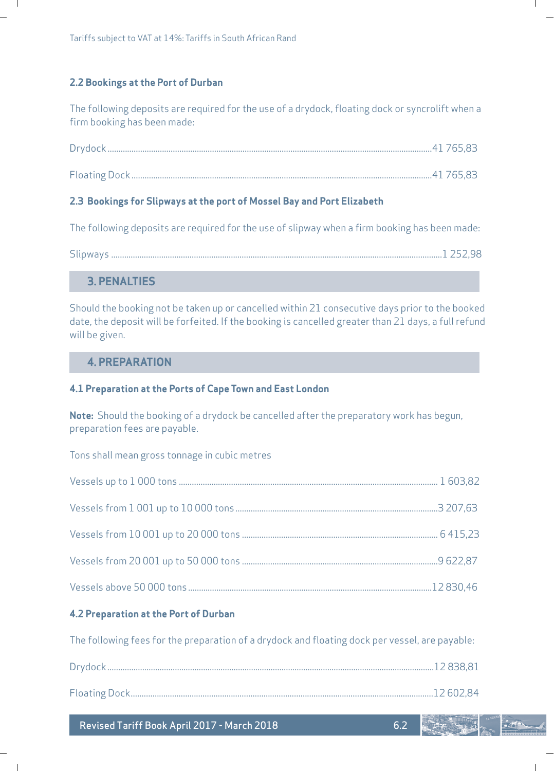### **2.2 Bookings at the Port of Durban**

 $\overline{\phantom{a}}$ 

The following deposits are required for the use of a drydock, floating dock or syncrolift when a firm booking has been made:

### **2.3 Bookings for Slipways at the port of Mossel Bay and Port Elizabeth**

The following deposits are required for the use of slipway when a firm booking has been made:

| $- \cdot \cdot$<br>Slidwavs |  |
|-----------------------------|--|
|-----------------------------|--|

# **3. PENALTIES**

Should the booking not be taken up or cancelled within 21 consecutive days prior to the booked date, the deposit will be forfeited. If the booking is cancelled greater than 21 days, a full refund will be given.

### **4. PREPARATION**

### **4.1 Preparation at the Ports of Cape Town and East London**

**Note:** Should the booking of a drydock be cancelled after the preparatory work has begun, preparation fees are payable.

Tons shall mean gross tonnage in cubic metres

### **4.2 Preparation at the Port of Durban**

The following fees for the preparation of a drydock and floating dock per vessel, are payable:

Revised Tariff Book April 2017 - March 2018

6.2

ı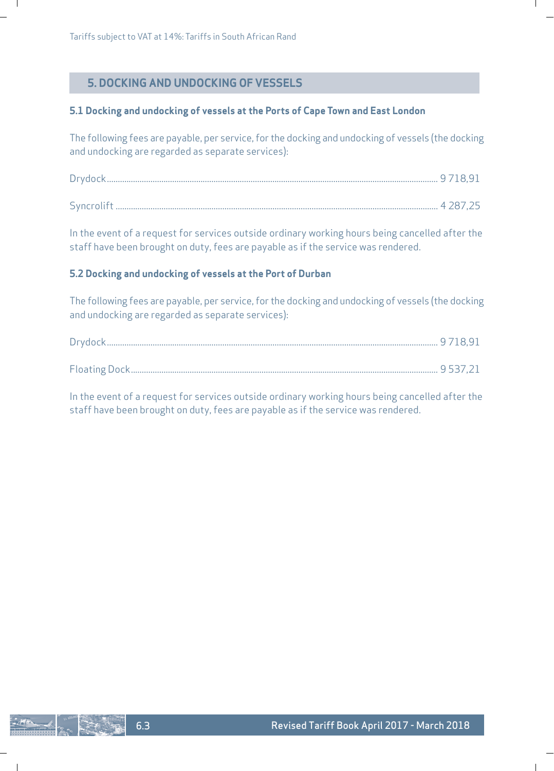# **5. DOCKING AND UNDOCKING OF VESSELS**

### **5.1 Docking and undocking of vessels at the Ports of Cape Town and East London**

The following fees are payable, per service, for the docking and undocking of vessels (the docking and undocking are regarded as separate services):

In the event of a request for services outside ordinary working hours being cancelled after the staff have been brought on duty, fees are payable as if the service was rendered.

### **5.2 Docking and undocking of vessels at the Port of Durban**

The following fees are payable, per service, for the docking and undocking of vessels (the docking and undocking are regarded as separate services):

In the event of a request for services outside ordinary working hours being cancelled after the staff have been brought on duty, fees are payable as if the service was rendered.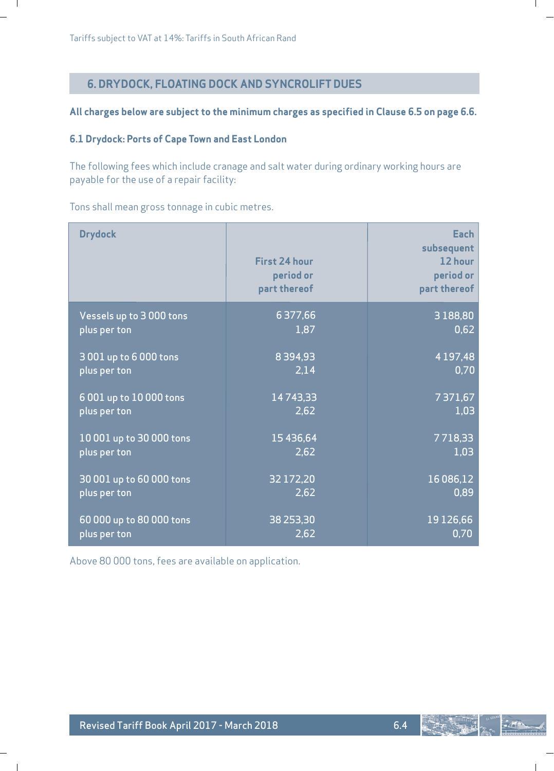$\blacksquare$ 

 $\blacksquare$ 

# **6. DRYDOCK, FLOATING DOCK AND SYNCROLIFT DUES**

### **All charges below are subject to the minimum charges as specified in Clause 6.5 on page 6.6.**

# **6.1 Drydock: Ports of Cape Town and East London**

The following fees which include cranage and salt water during ordinary working hours are payable for the use of a repair facility:

Tons shall mean gross tonnage in cubic metres.

| <b>Drydock</b>           | <b>First 24 hour</b><br>period or<br>part thereof | Each<br>subsequent<br>12 hour<br>period or<br>part thereof |
|--------------------------|---------------------------------------------------|------------------------------------------------------------|
| Vessels up to 3000 tons  | 6 377,66                                          | 3 1 8 8 , 8 0                                              |
| plus per ton             | 1,87                                              | 0,62                                                       |
| 3 001 up to 6 000 tons   | 8394.93                                           | 4 1 9 7 , 4 8                                              |
| plus per ton             | 2.14                                              | 0.70                                                       |
| 6 001 up to 10 000 tons  | 14743,33                                          | 7371,67                                                    |
| plus per ton             | 2,62                                              | 1,03                                                       |
| 10 001 up to 30 000 tons | 15 4 36, 64                                       | 7718,33                                                    |
| plus per ton             | 2,62                                              | 1.03                                                       |
| 30 001 up to 60 000 tons | 32 172,20                                         | 16 086,12                                                  |
| plus per ton             | 2,62                                              | 0.89                                                       |
| 60 000 up to 80 000 tons | 38 253,30                                         | 19 126,66                                                  |
| plus per ton             | 2,62                                              | 0.70                                                       |

Above 80 000 tons, fees are available on application.

 $-275$ 

ı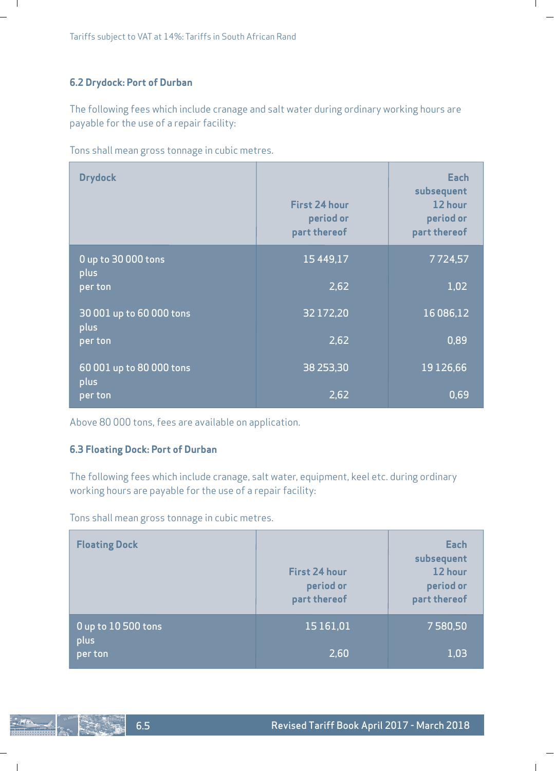# **6.2 Drydock: Port of Durban**

 $\mathbf{I}$ 

The following fees which include cranage and salt water during ordinary working hours are payable for the use of a repair facility:

Tons shall mean gross tonnage in cubic metres.

| <b>Drydock</b>                   | <b>First 24 hour</b><br>period or<br>part thereof | Each<br>subsequent<br>12 hour<br>period or<br>part thereof |
|----------------------------------|---------------------------------------------------|------------------------------------------------------------|
| 0 up to 30 000 tons<br>plus      | 15 4 4 9 1 7                                      | 7724,57                                                    |
| per ton                          | 2,62                                              | 1,02                                                       |
| 30 001 up to 60 000 tons<br>plus | 32 172,20                                         | 16 086,12                                                  |
| per ton                          | 2,62                                              | 0,89                                                       |
| 60 001 up to 80 000 tons         | 38 253,30                                         | 19126,66                                                   |
| plus<br>per ton                  | 2,62                                              | 0.69                                                       |

Above 80 000 tons, fees are available on application.

### **6.3 Floating Dock: Port of Durban**

The following fees which include cranage, salt water, equipment, keel etc. during ordinary working hours are payable for the use of a repair facility:

Tons shall mean gross tonnage in cubic metres.

| <b>Floating Dock</b>        | <b>First 24 hour</b><br>period or<br>part thereof | Each<br>subsequent<br>12 hour<br>period or<br>part thereof |
|-----------------------------|---------------------------------------------------|------------------------------------------------------------|
| 0 up to 10 500 tons<br>plus | 15 16 1.01                                        | 7580,50                                                    |
| per ton                     | 2,60                                              | 1.03                                                       |

 $\mathsf{l}$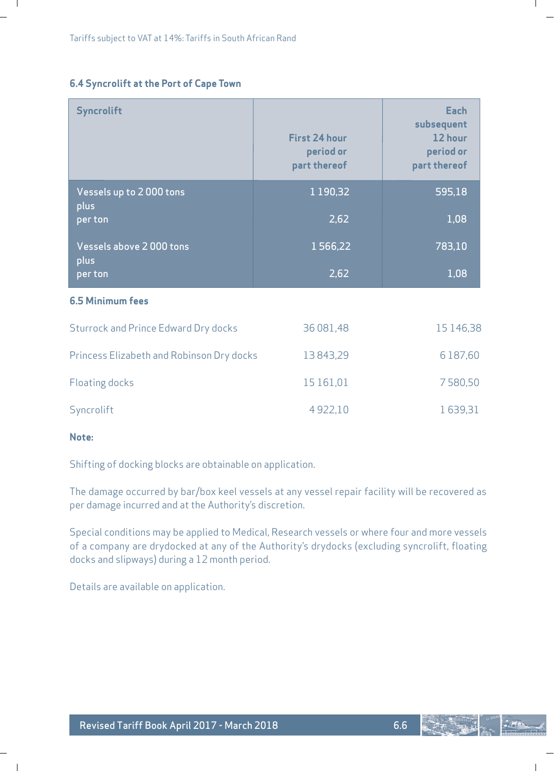# **6.4 Syncrolift at the Port of Cape Town**

| <b>Syncrolift</b>                           | <b>First 24 hour</b><br>period or<br>part thereof | Each<br>subsequent<br>12 hour<br>period or<br>part thereof |
|---------------------------------------------|---------------------------------------------------|------------------------------------------------------------|
| Vessels up to 2000 tons<br>plus             | 1 1 9 0, 3 2                                      | 595,18                                                     |
| per ton                                     | 2,62                                              | 1,08                                                       |
| Vessels above 2000 tons                     | 1566,22                                           | 783,10                                                     |
| plus<br>per ton                             | 2,62                                              | 1,08                                                       |
| <b>6.5 Minimum fees</b>                     |                                                   |                                                            |
| <b>Sturrock and Prince Edward Dry docks</b> | 36 081,48                                         | 15146,38                                                   |
| Princess Elizabeth and Robinson Dry docks   | 13843,29                                          | 6 187,60                                                   |
| <b>Floating docks</b>                       | 15 161,01                                         | 7580,50                                                    |
| Syncrolift                                  | 4922,10                                           | 1639,31                                                    |

### **Note:**

 $\overline{\phantom{a}}$ 

 $\blacksquare$ 

Shifting of docking blocks are obtainable on application.

The damage occurred by bar/box keel vessels at any vessel repair facility will be recovered as per damage incurred and at the Authority's discretion.

Special conditions may be applied to Medical, Research vessels or where four and more vessels of a company are drydocked at any of the Authority's drydocks (excluding syncrolift, floating docks and slipways) during a 12 month period.

Details are available on application.



L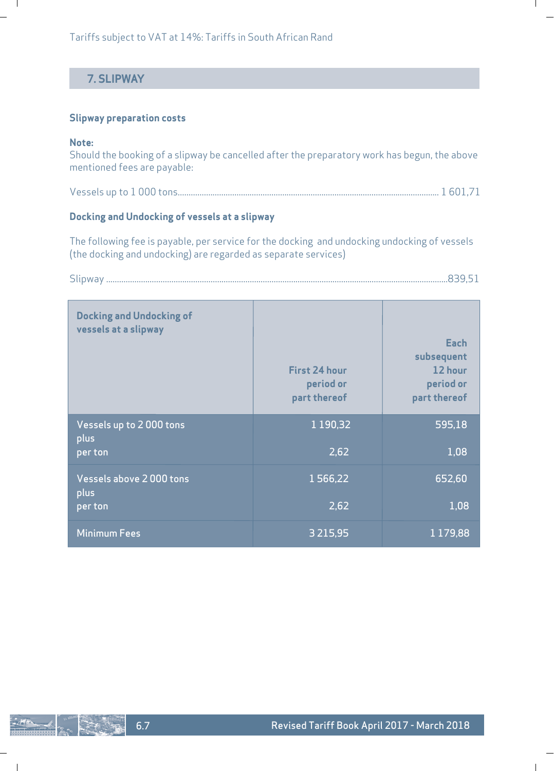Tariffs subject to VAT at 14%: Tariffs in South African Rand

# **7. SLIPWAY**

### **Slipway preparation costs**

#### **Note:**

 $\blacksquare$ 

Should the booking of a slipway be cancelled after the preparatory work has begun, the above mentioned fees are payable:

L

 $\mathbf{I}$ 

|--|--|--|--|

# **Docking and Undocking of vessels at a slipway**

6.7

 $\overline{\phantom{a}}$ 

The following fee is payable, per service for the docking and undocking undocking of vessels (the docking and undocking) are regarded as separate services)

Slipway .............................................................................................................................................................839,51

| <b>Docking and Undocking of</b><br>vessels at a slipway | <b>First 24 hour</b><br>period or<br>part thereof | Each<br>subsequent<br>12 hour<br>period or<br>part thereof |
|---------------------------------------------------------|---------------------------------------------------|------------------------------------------------------------|
| Vessels up to 2000 tons<br>plus<br>per ton              | 1 1 9 0 , 3 2<br>2.62                             | 595,18<br>1.08                                             |
| Vessels above 2000 tons<br>plus                         | 1566,22                                           | 652,60                                                     |
| per ton                                                 | 2,62                                              | 1.08                                                       |
| Minimum Fees                                            | 3 2 1 5 , 9 5                                     | 1179,88                                                    |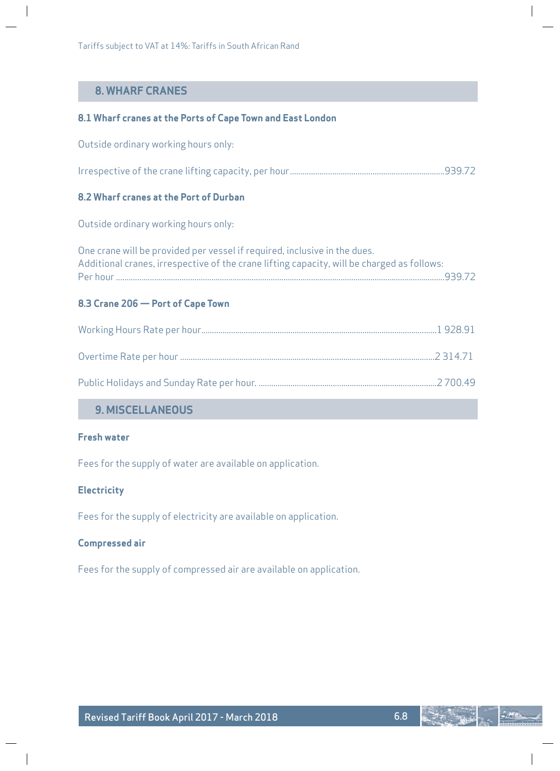# **8. WHARF CRANES**

### **8.1 Wharf cranes at the Ports of Cape Town and East London**

Outside ordinary working hours only:

Irrespective of the crane lifting capacity, per hour.........................................................................939.72

# **8.2 Wharf cranes at the Port of Durban**

Outside ordinary working hours only:

| One crane will be provided per vessel if required, inclusive in the dues.                  |  |
|--------------------------------------------------------------------------------------------|--|
| Additional cranes, irrespective of the crane lifting capacity, will be charged as follows: |  |
| 939.72                                                                                     |  |

### **8.3 Crane 206 — Port of Cape Town**

# **9. MISCELLANEOUS**

# **Fresh water**

Fees for the supply of water are available on application.

### **Electricity**

Fees for the supply of electricity are available on application.

### **Compressed air**

Fees for the supply of compressed air are available on application.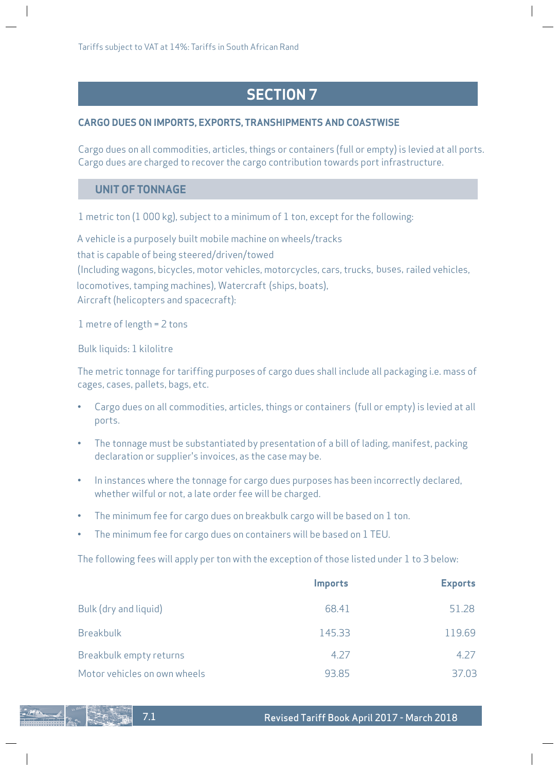Tariffs subject to VAT at 14%: Tariffs in South African Rand

# **SECTION 7**

# **CARGO DUES ON IMPORTS, EXPORTS, TRANSHIPMENTS AND COASTWISE**

Cargo dues on all commodities, articles, things or containers (full or empty) is levied at all ports. Cargo dues are charged to recover the cargo contribution towards port infrastructure.

# **UNIT OF TONNAGE**

1 metric ton (1 000 kg), subject to a minimum of 1 ton, except for the following:

A vehicle is a purposely built mobile machine on wheels/tracks that is capable of being steered/driven/towed (Including wagons, bicycles, motor vehicles, motorcycles, cars, trucks, buses, railed vehicles, locomotives, tamping machines), Watercraft (ships, boats), Aircraft (helicopters and spacecraft):

1 metre of length = 2 tons

Bulk liquids: 1 kilolitre

The metric tonnage for tariffing purposes of cargo dues shall include all packaging i.e. mass of cages, cases, pallets, bags, etc.

- Cargo dues on all commodities, articles, things or containers (full or empty) is levied at all ports.
- The tonnage must be substantiated by presentation of a bill of lading, manifest, packing declaration or supplier's invoices, as the case may be.
- In instances where the tonnage for cargo dues purposes has been incorrectly declared, whether wilful or not, a late order fee will be charged.
- The minimum fee for cargo dues on breakbulk cargo will be based on 1 ton.
- The minimum fee for cargo dues on containers will be based on 1 TEU.

The following fees will apply per ton with the exception of those listed under 1 to 3 below:

|                              | <b>Imports</b> | <b>Exports</b> |
|------------------------------|----------------|----------------|
| Bulk (dry and liquid)        | 68.41          | 51.28          |
| Breakbulk                    | 145.33         | 119.69         |
| Breakbulk empty returns      | 4.27           | 4.27           |
| Motor vehicles on own wheels | 93.85          | 37.03          |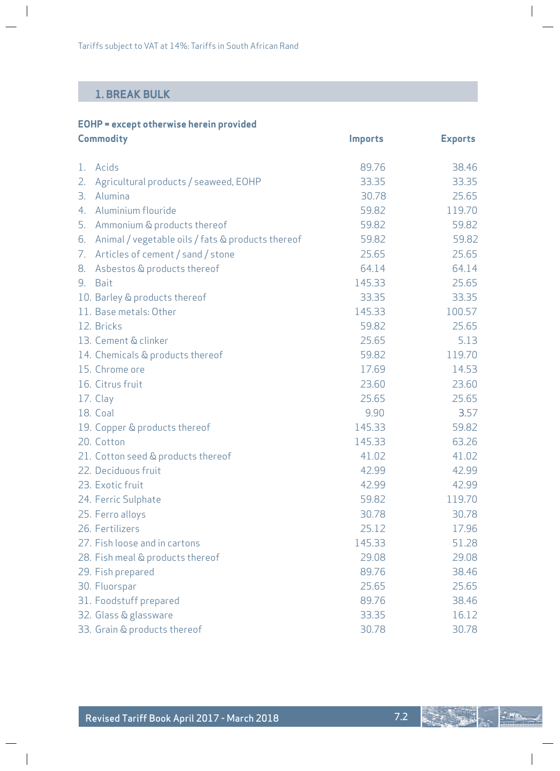# **1. BREAK BULK**

 $\overline{\phantom{a}}$ 

 $\overline{\phantom{a}}$ 

| EOHP = except otherwise herein provided |                |                |
|-----------------------------------------|----------------|----------------|
| Commodity                               | <i>Imports</i> | <b>Exports</b> |

| 1. | Acids                                             | 89.76  | 38.46  |
|----|---------------------------------------------------|--------|--------|
| 2. | Agricultural products / seaweed, EOHP             | 33.35  | 33.35  |
| З. | Alumina                                           | 30.78  | 25.65  |
| 4. | Aluminium flouride                                | 59.82  | 119.70 |
| 5. | Ammonium & products thereof                       | 59.82  | 59.82  |
| 6. | Animal / vegetable oils / fats & products thereof | 59.82  | 59.82  |
| 7. | Articles of cement / sand / stone                 | 25.65  | 25.65  |
| 8. | Asbestos & products thereof                       | 64.14  | 64.14  |
| 9. | <b>Bait</b>                                       | 145.33 | 25.65  |
|    | 10. Barley & products thereof                     | 33.35  | 33.35  |
|    | 11. Base metals: Other                            | 145.33 | 100.57 |
|    | 12. Bricks                                        | 59.82  | 25.65  |
|    | 13. Cement & clinker                              | 25.65  | 5.13   |
|    | 14. Chemicals & products thereof                  | 59.82  | 119.70 |
|    | 15. Chrome ore                                    | 17.69  | 14.53  |
|    | 16. Citrus fruit                                  | 23.60  | 23.60  |
|    | 17. Clay                                          | 25.65  | 25.65  |
|    | <b>18. Coal</b>                                   | 9.90   | 3.57   |
|    | 19. Copper & products thereof                     | 145.33 | 59.82  |
|    | 20. Cotton                                        | 145.33 | 63.26  |
|    | 21. Cotton seed & products thereof                | 41.02  | 41.02  |
|    | 22. Deciduous fruit                               | 42.99  | 42.99  |
|    | 23. Exotic fruit                                  | 42.99  | 42.99  |
|    | 24. Ferric Sulphate                               | 59.82  | 119.70 |
|    | 25. Ferro alloys                                  | 30.78  | 30.78  |
|    | 26. Fertilizers                                   | 25.12  | 17.96  |
|    | 27. Fish loose and in cartons                     | 145.33 | 51.28  |
|    | 28. Fish meal & products thereof                  | 29.08  | 29.08  |
|    | 29. Fish prepared                                 | 89.76  | 38.46  |
|    | 30. Fluorspar                                     | 25.65  | 25.65  |
|    | 31. Foodstuff prepared                            | 89.76  | 38.46  |
|    | 32. Glass & glassware                             | 33.35  | 16.12  |
|    | 33. Grain & products thereof                      | 30.78  | 30.78  |

 $\overline{\phantom{a}}$ 

 $\bigg|$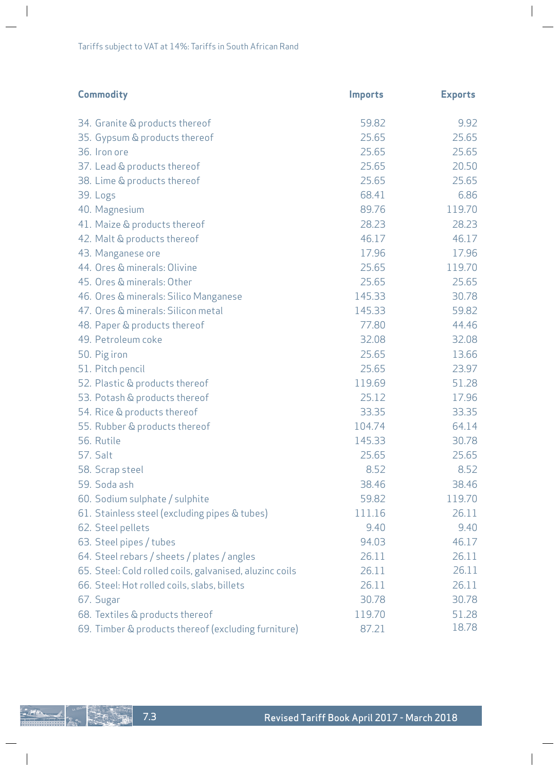$\begin{array}{c} \hline \end{array}$ 

| <b>Commodity</b>                                        | <b>Imports</b> | <b>Exports</b> |
|---------------------------------------------------------|----------------|----------------|
| 34. Granite & products thereof                          | 59.82          | 9.92           |
| 35. Gypsum & products thereof                           | 25.65          | 25.65          |
| 36. Iron ore                                            | 25.65          | 25.65          |
| 37. Lead & products thereof                             | 25.65          | 20.50          |
| 38. Lime & products thereof                             | 25.65          | 25.65          |
| 39. Logs                                                | 68.41          | 6.86           |
| 40. Magnesium                                           | 89.76          | 119.70         |
| 41. Maize & products thereof                            | 28.23          | 28.23          |
| 42. Malt & products thereof                             | 46.17          | 46.17          |
| 43. Manganese ore                                       | 17.96          | 17.96          |
| 44. Ores & minerals: Olivine                            | 25.65          | 119.70         |
| 45. Ores & minerals: Other                              | 25.65          | 25.65          |
| 46. Ores & minerals: Silico Manganese                   | 145.33         | 30.78          |
| 47. Ores & minerals: Silicon metal                      | 145.33         | 59.82          |
| 48. Paper & products thereof                            | 77.80          | 44.46          |
| 49. Petroleum coke                                      | 32.08          | 32.08          |
| 50. Pig iron                                            | 25.65          | 13.66          |
| 51. Pitch pencil                                        | 25.65          | 23.97          |
| 52. Plastic & products thereof                          | 119.69         | 51.28          |
| 53. Potash & products thereof                           | 25.12          | 17.96          |
| 54. Rice & products thereof                             | 33.35          | 33.35          |
| 55. Rubber & products thereof                           | 104.74         | 64.14          |
| 56. Rutile                                              | 145.33         | 30.78          |
| <b>57. Salt</b>                                         | 25.65          | 25.65          |
| 58. Scrap steel                                         | 8.52           | 8.52           |
| 59. Soda ash                                            | 38.46          | 38.46          |
| 60. Sodium sulphate / sulphite                          | 59.82          | 119.70         |
| 61. Stainless steel (excluding pipes & tubes)           | 111.16         | 26.11          |
| 62. Steel pellets                                       | 9.40           | 9.40           |
| 63. Steel pipes / tubes                                 | 94.03          | 46.17          |
| 64. Steel rebars / sheets / plates / angles             | 26.11          | 26.11          |
| 65. Steel: Cold rolled coils, galvanised, aluzinc coils | 26.11          | 26.11          |
| 66. Steel: Hot rolled coils, slabs, billets             | 26.11          | 26.11          |
| 67. Sugar                                               | 30.78          | 30.78          |
| 68. Textiles & products thereof                         | 119.70         | 51.28          |
| 69. Timber & products thereof (excluding furniture)     | 87.21          | 18.78          |

 $\overline{\phantom{a}}$ 

 $\begin{array}{c} \hline \end{array}$ 

 $\overline{\phantom{a}}$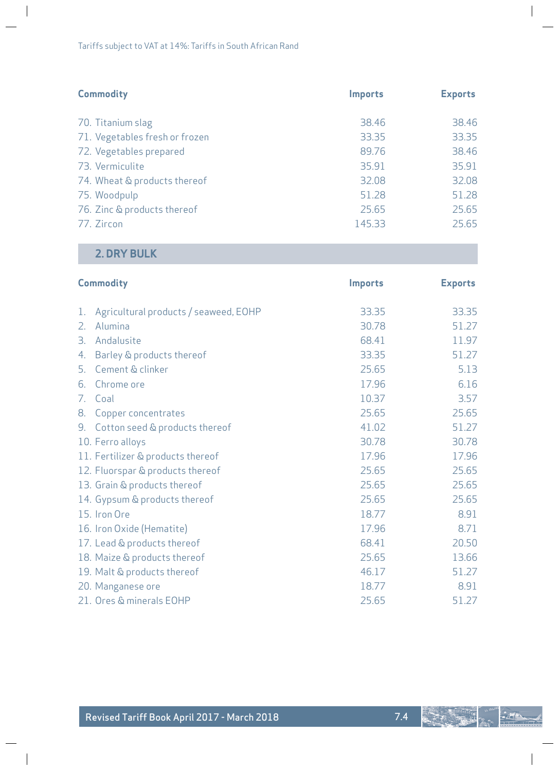| <b>Commodity</b>               | <b>Imports</b> | <b>Exports</b> |
|--------------------------------|----------------|----------------|
| 70. Titanium slag              | 38.46          | 38.46          |
| 71. Vegetables fresh or frozen | 33.35          | 33.35          |
| 72. Vegetables prepared        | 89.76          | 38.46          |
| 73. Vermiculite                | 35.91          | 35.91          |
| 74. Wheat & products thereof   | 32.08          | 32.08          |
| 75. Woodpulp                   | 51.28          | 51.28          |
| 76. Zinc & products thereof    | 25.65          | 25.65          |
| 77. Zircon                     | 145.33         | 25.65          |

# **2. DRY BULK**

 $\begin{array}{c} \hline \end{array}$ 

 $\overline{\phantom{a}}$ 

|    | <b>Commodity</b>                      | <b>Imports</b> | <b>Exports</b> |
|----|---------------------------------------|----------------|----------------|
| 1. | Agricultural products / seaweed, EOHP | 33.35          | 33.35          |
| 2. | Alumina                               | 30.78          | 51.27          |
| 3. | Andalusite                            | 68.41          | 11.97          |
| 4. | Barley & products thereof             | 33.35          | 51.27          |
| 5. | Cement & clinker                      | 25.65          | 5.13           |
| 6. | Chrome ore                            | 17.96          | 6.16           |
| 7. | Coal                                  | 10.37          | 3.57           |
| 8. | Copper concentrates                   | 25.65          | 25.65          |
| 9. | Cotton seed & products thereof        | 41.02          | 51.27          |
|    | 10. Ferro alloys                      | 30.78          | 30.78          |
|    | 11. Fertilizer & products thereof     | 17.96          | 17.96          |
|    | 12. Fluorspar & products thereof      | 25.65          | 25.65          |
|    | 13. Grain & products thereof          | 25.65          | 25.65          |
|    | 14. Gypsum & products thereof         | 25.65          | 25.65          |
|    | 15. Iron Ore                          | 18.77          | 8.91           |
|    | 16. Iron Oxide (Hematite)             | 17.96          | 8.71           |
|    | 17. Lead & products thereof           | 68.41          | 20.50          |
|    | 18. Maize & products thereof          | 25.65          | 13.66          |
|    | 19. Malt & products thereof           | 46.17          | 51.27          |
|    | 20. Manganese ore                     | 18.77          | 8.91           |
|    | 21. Ores & minerals EOHP              | 25.65          | 51.27          |

 $\overline{\phantom{a}}$ 

 $\begin{array}{c} \hline \end{array}$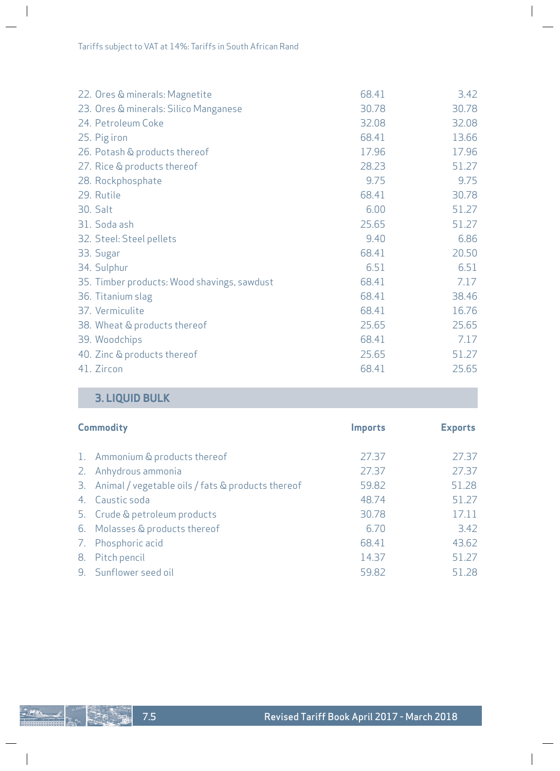| 22. Ores & minerals: Magnetite              | 68.41 | 3.42  |
|---------------------------------------------|-------|-------|
| 23. Ores & minerals: Silico Manganese       | 30.78 | 30.78 |
| 24. Petroleum Coke                          | 32.08 | 32.08 |
| 25. Pig iron                                | 68.41 | 13.66 |
| 26. Potash & products thereof               | 17.96 | 17.96 |
| 27. Rice & products thereof                 | 28.23 | 51.27 |
| 28. Rockphosphate                           | 9.75  | 9.75  |
| 29. Rutile                                  | 68.41 | 30.78 |
| 30. Salt                                    | 6.00  | 51.27 |
| 31. Soda ash                                | 25.65 | 51.27 |
| 32. Steel: Steel pellets                    | 9.40  | 6.86  |
| 33. Sugar                                   | 68.41 | 20.50 |
| 34. Sulphur                                 | 6.51  | 6.51  |
| 35. Timber products: Wood shavings, sawdust | 68.41 | 7.17  |
| 36. Titanium slag                           | 68.41 | 38.46 |
| 37. Vermiculite                             | 68.41 | 16.76 |
| 38. Wheat & products thereof                | 25.65 | 25.65 |
| 39. Woodchips                               | 68.41 | 7.17  |
| 40. Zinc & products thereof                 | 25.65 | 51.27 |
| 41. Zircon                                  | 68.41 | 25.65 |

 $\begin{array}{c} \hline \end{array}$ 

 $\overline{\phantom{a}}$ 

# **3. LIQUID BULK**

|    | <b>Commodity</b>                                     | <b>Imports</b> | <b>Exports</b> |
|----|------------------------------------------------------|----------------|----------------|
|    | 1. Ammonium & products thereof                       | 27.37          | 27.37          |
|    | 2. Anhydrous ammonia                                 | 27.37          | 27.37          |
|    | 3. Animal / vegetable oils / fats & products thereof | 59.82          | 51.28          |
|    | 4. Caustic soda                                      | 48.74          | 51.27          |
|    | 5. Crude & petroleum products                        | 30.78          | 17.11          |
|    | 6. Molasses & products thereof                       | 6.70           | 3.42           |
|    | 7. Phosphoric acid                                   | 68.41          | 43.62          |
| 8. | Pitch pencil                                         | 14.37          | 51.27          |
|    | 9. Sunflower seed oil                                | 59.82          | 51.28          |



 $\overline{\phantom{a}}$ 

 $\begin{array}{c} \hline \end{array}$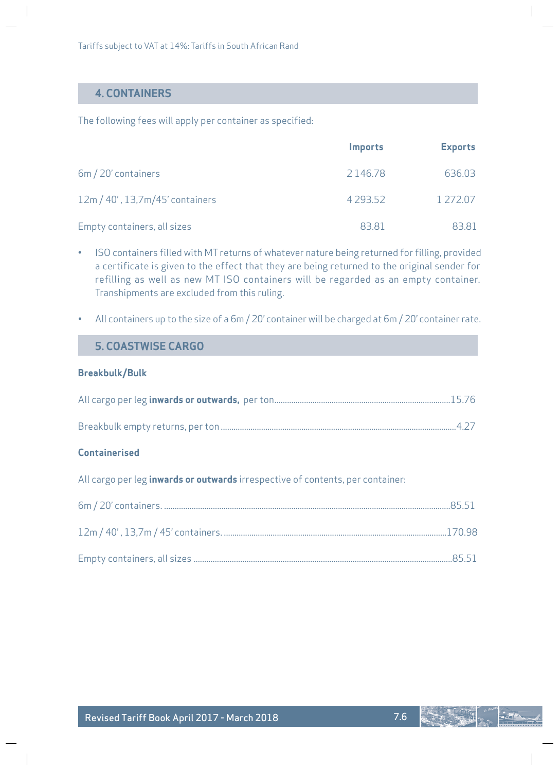# **4. CONTAINERS**

The following fees will apply per container as specified:

|                                 | <i>Imports</i> | <b>Exports</b> |
|---------------------------------|----------------|----------------|
| 6m / 20' containers             | 2146.78        | 636.03         |
| 12m / 40', 13,7m/45' containers | 4 2 9 3 5 2    | 1 272.07       |
| Empty containers, all sizes     | 83.81          | 83.81          |

- ISO containers filled with MT returns of whatever nature being returned for filling, provided a certificate is given to the effect that they are being returned to the original sender for refilling as well as new MT ISO containers will be regarded as an empty container. Transhipments are excluded from this ruling.
- All containers up to the size of a 6m / 20' container will be charged at 6m / 20' container rate.

# **5. COASTWISE CARGO**

### **Breakbulk/Bulk**

### **Containerised**

All cargo per leg **inwards or outwards** irrespective of contents, per container: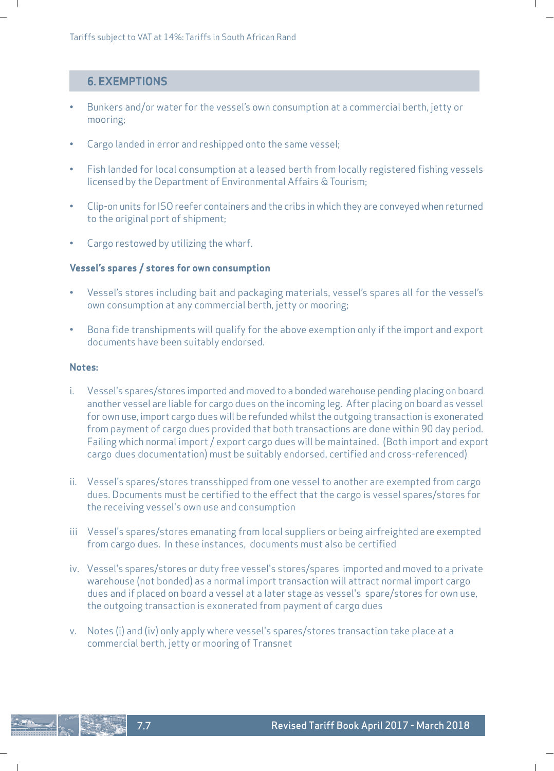# **6. EXEMPTIONS**

- Bunkers and/or water for the vessel's own consumption at a commercial berth, jetty or mooring;
- Cargo landed in error and reshipped onto the same vessel;
- Fish landed for local consumption at a leased berth from locally registered fishing vessels licensed by the Department of Environmental Affairs & Tourism;
- Clip-on units for ISO reefer containers and the cribs in which they are conveyed when returned to the original port of shipment;
- Cargo restowed by utilizing the wharf.

### **Vessel's spares / stores for own consumption**

- Vessel's stores including bait and packaging materials, vessel's spares all for the vessel's own consumption at any commercial berth, jetty or mooring;
- Bona fide transhipments will qualify for the above exemption only if the import and export documents have been suitably endorsed.

#### **Notes:**

- i. Vessel's spares/stores imported and moved to a bonded warehouse pending placing on board another vessel are liable for cargo dues on the incoming leg. After placing on board as vessel for own use, import cargo dues will be refunded whilst the outgoing transaction is exonerated from payment of cargo dues provided that both transactions are done within 90 day period. Failing which normal import / export cargo dues will be maintained. (Both import and export cargo dues documentation) must be suitably endorsed, certified and cross-referenced)
- ii. Vessel's spares/stores transshipped from one vessel to another are exempted from cargo dues. Documents must be certified to the effect that the cargo is vessel spares/stores for the receiving vessel's own use and consumption
- iii Vessel's spares/stores emanating from local suppliers or being airfreighted are exempted from cargo dues. In these instances, documents must also be certified
- iv. Vessel's spares/stores or duty free vessel's stores/spares imported and moved to a private warehouse (not bonded) as a normal import transaction will attract normal import cargo dues and if placed on board a vessel at a later stage as vessel's spare/stores for own use, the outgoing transaction is exonerated from payment of cargo dues
- v. Notes (i) and (iv) only apply where vessel's spares/stores transaction take place at a commercial berth, jetty or mooring of Transnet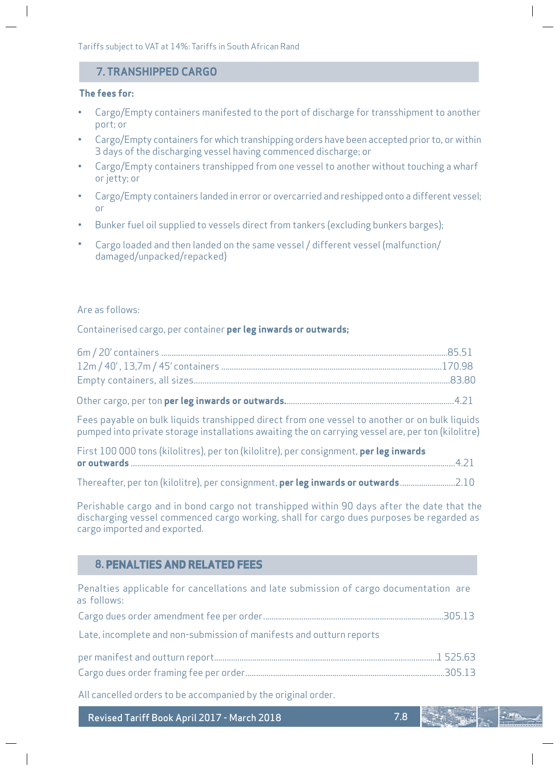Tariffs subject to VAT at 14%: Tariffs in South African Rand

# **7. TRANSHIPPED CARGO**

### **The fees for:**

- Cargo/Empty containers manifested to the port of discharge for transshipment to another port; or
- Cargo/Empty containers for which transhipping orders have been accepted prior to, or within 3 days of the discharging vessel having commenced discharge; or
- Cargo/Empty containers transhipped from one vessel to another without touching a wharf or jetty; or
- Cargo/Empty containers landed in error or overcarried and reshipped onto a different vessel; or
- Bunker fuel oil supplied to vessels direct from tankers (excluding bunkers barges);
- Cargo loaded and then landed on the same vessel / different vessel (malfunction/ damaged/unpacked/repacked)

#### Are as follows:

Containerised cargo, per container **per leg inwards or outwards;**

Other cargo, per ton **per leg inwards or outwards.**...............................................................................4.21

Fees payable on bulk liquids transhipped direct from one vessel to another or on bulk liquids pumped into private storage installations awaiting the on carrying vessel are, per ton (kilolitre)

| First 100 000 tons (kilolitres), per ton (kilolitre), per consignment, per leg inwards |  |
|----------------------------------------------------------------------------------------|--|
|                                                                                        |  |
|                                                                                        |  |

Thereafter, per ton (kilolitre), per consignment, **per leg inwards or outwards**..........................2.10

Perishable cargo and in bond cargo not transhipped within 90 days after the date that the discharging vessel commenced cargo working, shall for cargo dues purposes be regarded as cargo imported and exported.

# **8. PENALTIES AND RELATED FEES**

Penalties applicable for cancellations and late submission of cargo documentation are as follows:

Cargo dues order amendment fee per order.....................................................................................305.13

Late, incomplete and non-submission of manifests and outturn reports

All cancelled orders to be accompanied by the original order.

Revised Tariff Book April 2017 - March 2018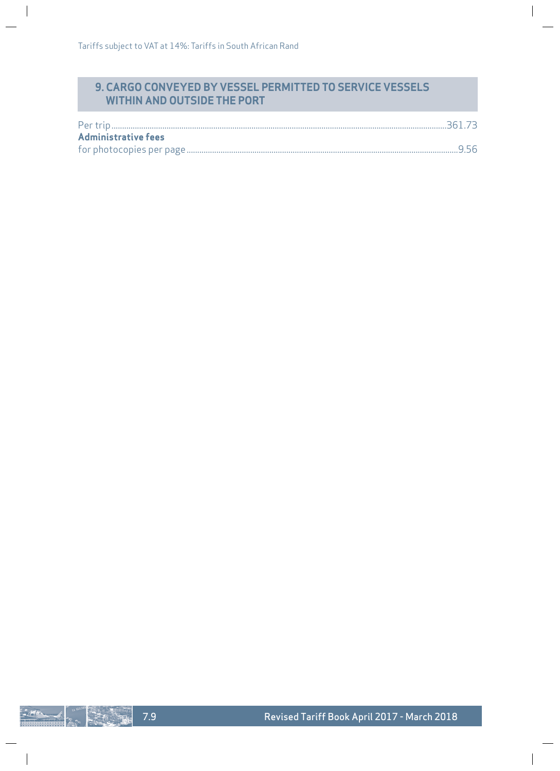# **9. CARGO CONVEYED BY VESSEL PERMITTED TO SERVICE VESSELS WITHIN AND OUTSIDE THE PORT**

| <b>Administrative fees</b> |  |
|----------------------------|--|
|                            |  |

 $\overline{\phantom{a}}$ 

 $\overline{\phantom{a}}$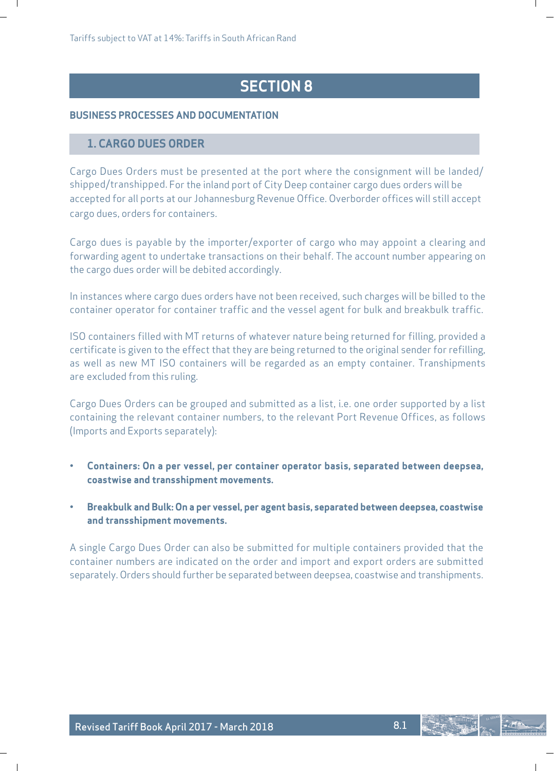# **SECTION 8**

### **BUSINESS PROCESSES AND DOCUMENTATION**

### **1. CARGO DUES ORDER**

Cargo Dues Orders must be presented at the port where the consignment will be landed/ shipped/transhipped. For the inland port of City Deep container cargo dues orders will be accepted for all ports at our Johannesburg Revenue Office. Overborder offices will still accept cargo dues, orders for containers.

Cargo dues is payable by the importer/exporter of cargo who may appoint a clearing and forwarding agent to undertake transactions on their behalf. The account number appearing on the cargo dues order will be debited accordingly.

In instances where cargo dues orders have not been received, such charges will be billed to the container operator for container traffic and the vessel agent for bulk and breakbulk traffic.

ISO containers filled with MT returns of whatever nature being returned for filling, provided a certificate is given to the effect that they are being returned to the original sender for refilling, as well as new MT ISO containers will be regarded as an empty container. Transhipments are excluded from this ruling.

Cargo Dues Orders can be grouped and submitted as a list, i.e. one order supported by a list containing the relevant container numbers, to the relevant Port Revenue Offices, as follows (Imports and Exports separately):

- **Containers: On a per vessel, per container operator basis, separated between deepsea, coastwise and transshipment movements.**
- **Breakbulk and Bulk: On a per vessel, per agent basis, separated between deepsea, coastwise and transshipment movements.**

A single Cargo Dues Order can also be submitted for multiple containers provided that the container numbers are indicated on the order and import and export orders are submitted separately. Orders should further be separated between deepsea, coastwise and transhipments.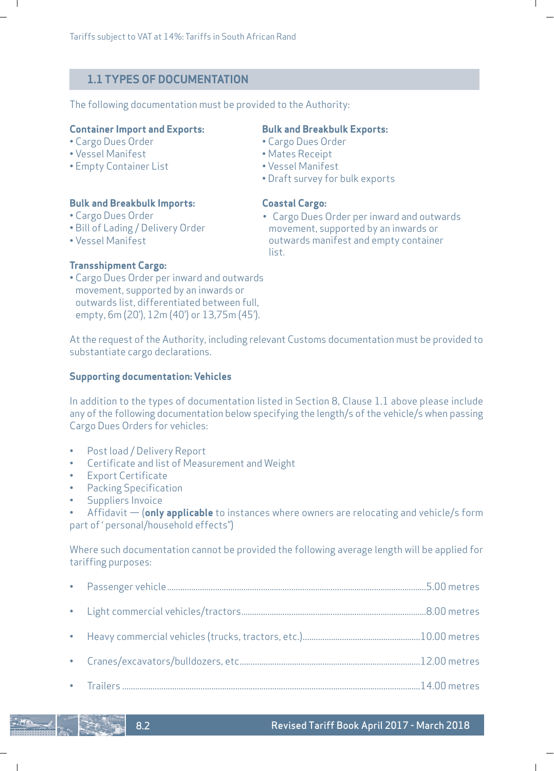# **1.1 TYPES OF DOCUMENTATION**

The following documentation must be provided to the Authority:

#### **Container Import and Exports: Bulk and Breakbulk Exports:**

- Cargo Dues Order Cargo Dues Order
- 

 $\mathbf{I}$ 

• Empty Container List

#### **Bulk and Breakbulk Imports: Coastal Cargo:**

- Cargo Dues Order
- Bill of Lading / Delivery Order
- Vessel Manifest

- 
- Vessel Manifest Mates Receipt
	-
	- Draft survey for bulk exports

• Cargo Dues Order per inward and outwards movement, supported by an inwards or outwards manifest and empty container list.

ı

# **Transshipment Cargo:**

• Cargo Dues Order per inward and outwards movement, supported by an inwards or outwards list, differentiated between full, empty, 6m (20'), 12m (40') or 13,75m (45').

At the request of the Authority, including relevant Customs documentation must be provided to substantiate cargo declarations.

### **Supporting documentation: Vehicles**

In addition to the types of documentation listed in Section 8, Clause 1.1 above please include any of the following documentation below specifying the length/s of the vehicle/s when passing Cargo Dues Orders for vehicles:

Post load / Delivery Report

8.2

 $\mathsf{l}$ 

- Certificate and list of Measurement and Weight
- Export Certificate
- Packing Specification
- Suppliers Invoice

• Affidavit — (**only applicable** to instances where owners are relocating and vehicle/s form part of ' personal/household effects")

Where such documentation cannot be provided the following average length will be applied for tariffing purposes: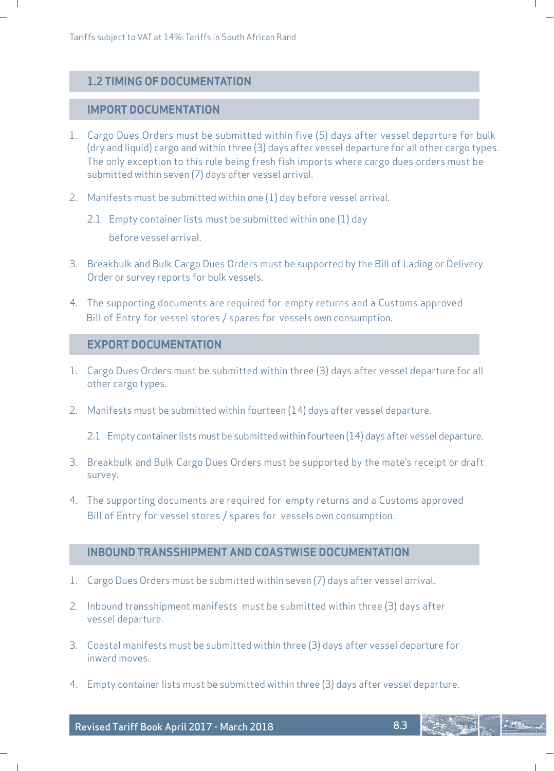# **1.2 TIMING OF DOCUMENTATION**

### **IMPORT DOCUMENTATION**

 $\mathbf{I}$ 

 $\overline{\phantom{a}}$ 

- 1. Cargo Dues Orders must be submitted within five (5) days after vessel departure for bulk (dry and liquid) cargo and within three (3) days after vessel departure for all other cargo types. The only exception to this rule being fresh fish imports where cargo dues orders must be submitted within seven (7) days after vessel arrival.
- 2. Manifests must be submitted within one (1) day before vessel arrival.
	- 2.1 Empty container lists must be submitted within one (1) day before vessel arrival.
- 3. Breakbulk and Bulk Cargo Dues Orders must be supported by the Bill of Lading or Delivery Order or survey reports for bulk vessels.
- 4. The supporting documents are required for empty returns and a Customs approved Bill of Entry for vessel stores / spares for vessels own consumption.

### **EXPORT DOCUMENTATION**

- 1. Cargo Dues Orders must be submitted within three (3) days after vessel departure for all other cargo types.
- 2. Manifests must be submitted within fourteen (14) days after vessel departure.

2.1 Empty container lists must be submitted within fourteen (14) days after vessel departure.

- 3. Breakbulk and Bulk Cargo Dues Orders must be supported by the mate's receipt or draft survey.
- 4. The supporting documents are required for empty returns and a Customs approved Bill of Entry for vessel stores / spares for vessels own consumption.

# **INBOUND TRANSSHIPMENT AND COASTWISE DOCUMENTATION**

- 1. Cargo Dues Orders must be submitted within seven (7) days after vessel arrival.
- 2. Inbound transshipment manifests must be submitted within three (3) days after vessel departure.
- 3. Coastal manifests must be submitted within three (3) days after vessel departure for inward moves.
- 4. Empty container lists must be submitted within three (3) days after vessel departure.

8.3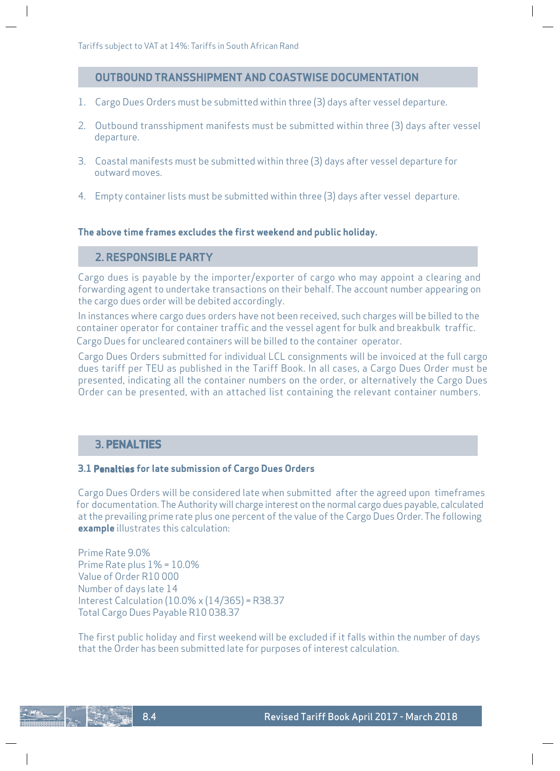### **OUTBOUND TRANSSHIPMENT AND COASTWISE DOCUMENTATION**

- 1. Cargo Dues Orders must be submitted within three (3) days after vessel departure.
- 2. Outbound transshipment manifests must be submitted within three (3) days after vessel departure.
- 3. Coastal manifests must be submitted within three (3) days after vessel departure for outward moves.
- 4. Empty container lists must be submitted within three (3) days after vessel departure.

### **The above time frames excludes the first weekend and public holiday.**

# **2. RESPONSIBLE PARTY**

Cargo dues is payable by the importer/exporter of cargo who may appoint a clearing and forwarding agent to undertake transactions on their behalf. The account number appearing on the cargo dues order will be debited accordingly.

In instances where cargo dues orders have not been received, such charges will be billed to the container operator for container traffic and the vessel agent for bulk and breakbulk traffic. Cargo Dues for uncleared containers will be billed to the container operator.

Cargo Dues Orders submitted for individual LCL consignments will be invoiced at the full cargo dues tariff per TEU as published in the Tariff Book. In all cases, a Cargo Dues Order must be presented, indicating all the container numbers on the order, or alternatively the Cargo Dues Order can be presented, with an attached list containing the relevant container numbers.

### **3. PENALTIES**

### **3.1 Penalties for late submission of Cargo Dues Orders**

Cargo Dues Orders will be considered late when submitted after the agreed upon timeframes for documentation. The Authority will charge interest on the normal cargo dues payable, calculated at the prevailing prime rate plus one percent of the value of the Cargo Dues Order. The following **example** illustrates this calculation:

Prime Rate 9.0% Prime Rate plus 1% = 10.0% Value of Order R10 000 Number of days late 14 Interest Calculation (10.0% x (14/365) = R38.37 Total Cargo Dues Payable R10 038.37

The first public holiday and first weekend will be excluded if it falls within the number of days that the Order has been submitted late for purposes of interest calculation.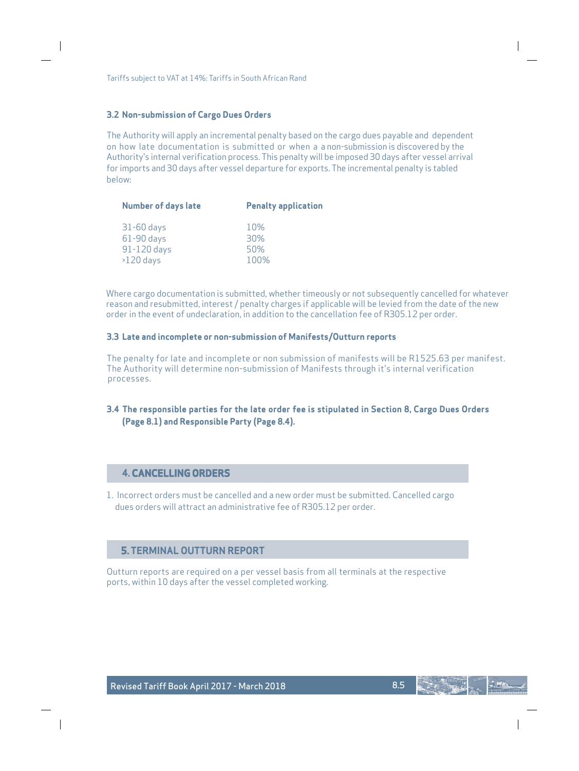Tariffs subject to VAT at 14%: Tariffs in South African Rand

#### **3.2 Non-submission of Cargo Dues Orders**

The Authority will apply an incremental penalty based on the cargo dues payable and dependent on how late documentation is submitted or when a a non-submission is discovered by the Authority's internal verification process. This penalty will be imposed 30 days after vessel arrival for imports and 30 days after vessel departure for exports. The incremental penalty is tabled below:

| <b>Number of days late</b>                                 | <b>Penalty application</b> |  |  |  |
|------------------------------------------------------------|----------------------------|--|--|--|
| $31-60$ days<br>$61-90$ days<br>91-120 days<br>$>120$ days | 10%<br>30%<br>50%<br>100%  |  |  |  |
|                                                            |                            |  |  |  |

Where cargo documentation is submitted, whether timeously or not subsequently cancelled for whatever reason and resubmitted, interest / penalty charges if applicable will be levied from the date of the new order in the event of undeclaration, in addition to the cancellation fee of R305.12 per order.

### **3.3 Late and incomplete or non-submission of Manifests/Outturn reports**

The penalty for late and incomplete or non submission of manifests will be R1525.63 per manifest. The Authority will determine non-submission of Manifests through it's internal verification processes.

# **(Page 8.1) and Responsible Party (Page 8.4). 3.4 The responsible parties for the late order fee is stipulated in Section 8, Cargo Dues Orders**

### **4. CANCELLING ORDERS**

1. Incorrect orders must be cancelled and a new order must be submitted. Cancelled cargo dues orders will attract an administrative fee of R305.12 per order.

### **5. TERMINAL OUTTURN REPORT**

Outturn reports are required on a per vessel basis from all terminals at the respective ports, within 10 days after the vessel completed working.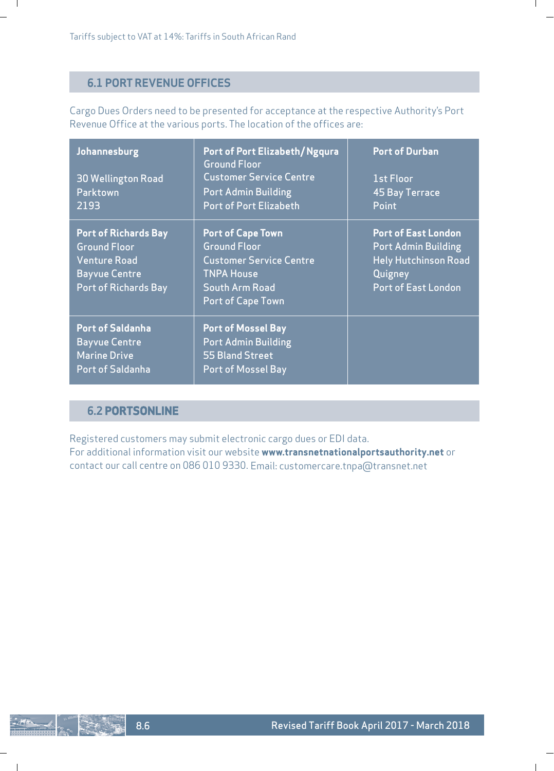# **6.1 PORT REVENUE OFFICES**

 $\blacksquare$ 

Cargo Dues Orders need to be presented for acceptance at the respective Authority's Port Revenue Office at the various ports. The location of the offices are:

ı

| Johannesburg<br><b>30 Wellington Road</b><br>Parktown<br>2193                                                                    | Port of Port Elizabeth/Ngqura<br><b>Ground Floor</b><br><b>Customer Service Centre</b><br><b>Port Admin Building</b><br>Port of Port Elizabeth       | <b>Port of Durban</b><br>1st Floor<br>45 Bay Terrace<br>Point                                                                    |
|----------------------------------------------------------------------------------------------------------------------------------|------------------------------------------------------------------------------------------------------------------------------------------------------|----------------------------------------------------------------------------------------------------------------------------------|
| <b>Port of Richards Bay</b><br><b>Ground Floor</b><br><b>Venture Road</b><br><b>Bayvue Centre</b><br><b>Port of Richards Bay</b> | <b>Port of Cape Town</b><br><b>Ground Floor</b><br><b>Customer Service Centre</b><br><b>TNPA House</b><br>South Arm Road<br><b>Port of Cape Town</b> | <b>Port of East London</b><br><b>Port Admin Building</b><br><b>Hely Hutchinson Road</b><br>Quigney<br><b>Port of East London</b> |
| <b>Port of Saldanha</b><br><b>Bayvue Centre</b><br><b>Marine Drive</b><br>Port of Saldanha                                       | <b>Port of Mossel Bay</b><br>Port Admin Building<br>55 Bland Street<br><b>Port of Mossel Bay</b>                                                     |                                                                                                                                  |

# **6.2 PORTSONLINE**

Registered customers may submit electronic cargo dues or EDI data. For additional information visit our website **www.transnetnationalportsauthority.net** or contact our call centre on 086 010 9330. Email: customercare.tnpa@transnet.net

 $\mathbf{I}$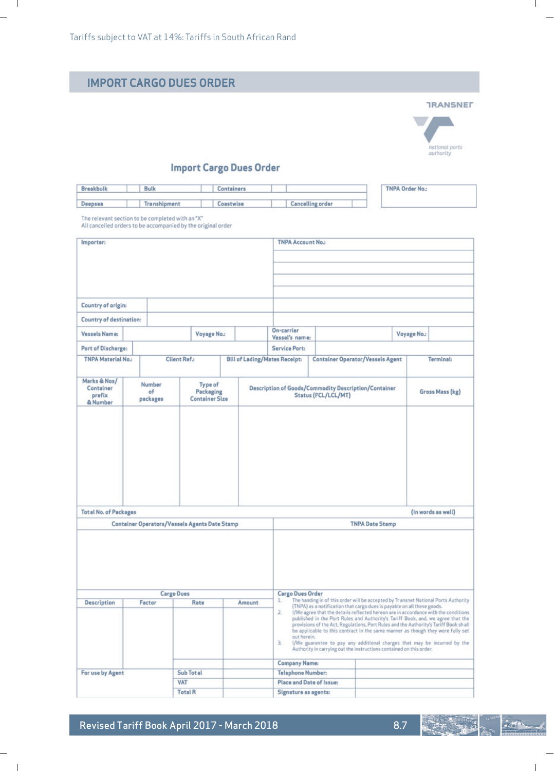$\overline{\phantom{0}}$  $\sim$  1

|                                                  |                          | <b>IMPORT CARGO DUES ORDER</b>                               |                                      |                                           |                                                                                                                                                                                                                                                                                                                                                                                                                                |                        |                        |                                                |
|--------------------------------------------------|--------------------------|--------------------------------------------------------------|--------------------------------------|-------------------------------------------|--------------------------------------------------------------------------------------------------------------------------------------------------------------------------------------------------------------------------------------------------------------------------------------------------------------------------------------------------------------------------------------------------------------------------------|------------------------|------------------------|------------------------------------------------|
|                                                  |                          |                                                              |                                      |                                           |                                                                                                                                                                                                                                                                                                                                                                                                                                |                        |                        | <b>TRANSNET</b><br>national ports<br>authority |
|                                                  |                          |                                                              | <b>Import Cargo Dues Order</b>       |                                           |                                                                                                                                                                                                                                                                                                                                                                                                                                |                        |                        |                                                |
| <b>Breakbulk</b>                                 | <b>Bulk</b>              |                                                              | Containers                           |                                           |                                                                                                                                                                                                                                                                                                                                                                                                                                |                        | <b>TNPA Order No.:</b> |                                                |
| Deepsea                                          | <b>Transhipment</b>      |                                                              | Coastwise                            |                                           | <b>Cancelling order</b>                                                                                                                                                                                                                                                                                                                                                                                                        |                        |                        |                                                |
| The relevant section to be completed with an "X" |                          | All cancelled orders to be accompanied by the original order |                                      |                                           |                                                                                                                                                                                                                                                                                                                                                                                                                                |                        |                        |                                                |
| Importer:                                        |                          |                                                              |                                      | <b>TNPA Account No.:</b>                  |                                                                                                                                                                                                                                                                                                                                                                                                                                |                        |                        |                                                |
|                                                  |                          |                                                              |                                      |                                           |                                                                                                                                                                                                                                                                                                                                                                                                                                |                        |                        |                                                |
| Country of origin:                               |                          |                                                              |                                      |                                           |                                                                                                                                                                                                                                                                                                                                                                                                                                |                        |                        |                                                |
| <b>Country of destination:</b>                   |                          |                                                              |                                      |                                           |                                                                                                                                                                                                                                                                                                                                                                                                                                |                        |                        |                                                |
| Vessels Name:                                    |                          | Voyage No.:                                                  |                                      | On-carrier<br>Vessel's name:              |                                                                                                                                                                                                                                                                                                                                                                                                                                |                        | Voyage No.:            |                                                |
| Port of Discharge:                               |                          |                                                              |                                      | <b>Service Port:</b>                      |                                                                                                                                                                                                                                                                                                                                                                                                                                |                        |                        |                                                |
| <b>TNPA Material No.:</b>                        |                          | <b>Client Ref.:</b>                                          | <b>Bill of Lading/Mates Receipt:</b> |                                           | <b>Container Operator/Vessels Agent</b>                                                                                                                                                                                                                                                                                                                                                                                        |                        |                        | Terminal:                                      |
| Marks & Nos/<br>Container<br>prefix<br>& Number  | Number<br>of<br>packages | Type of<br>Packaging<br><b>Container Size</b>                |                                      |                                           | <b>Description of Goods/Commodity Description/Container</b><br>Status (FCL/LCL/MT)                                                                                                                                                                                                                                                                                                                                             |                        |                        | Gross Mass (kg)                                |
| <b>Total No. of Packages</b>                     |                          |                                                              |                                      |                                           |                                                                                                                                                                                                                                                                                                                                                                                                                                |                        |                        | (In words as well)                             |
|                                                  |                          | <b>Container Operators/Vessels Agents Date Stamp</b>         |                                      |                                           |                                                                                                                                                                                                                                                                                                                                                                                                                                | <b>TNPA Date Stamp</b> |                        |                                                |
| <b>Description</b>                               | Factor                   | <b>Cargo Dues</b><br>Rate                                    | Amount                               | <b>Cargo Dues Order</b><br>1<br>2.        | The handing in of this order will be accepted by Transnet National Ports Authority<br>(TNPA) as a notification that cargo dues is payable on all these goods.<br>I/We agree that the details reflected hereon are in accordance with the conditions<br>published in the Port Rules and Authority's Tariff Book, and, we agree that the<br>provisions of the Act, Regulations, Port Rules and the Authority's Tariff Book shall |                        |                        |                                                |
|                                                  |                          |                                                              |                                      | out herein.<br>3.<br><b>Company Name:</b> | be applicable to this contract in the same manner as though they were fully set<br>I/We guarantee to pay any additional charges that may be incurred by the Authority in carrying out the instructions contained on this order.                                                                                                                                                                                                |                        |                        |                                                |
| For use by Agent                                 |                          | Sub Tot al                                                   |                                      | <b>Telephone Number:</b>                  |                                                                                                                                                                                                                                                                                                                                                                                                                                |                        |                        |                                                |
|                                                  |                          | <b>VAT</b>                                                   |                                      | Place and Date of Issue:                  |                                                                                                                                                                                                                                                                                                                                                                                                                                |                        |                        |                                                |

Revised Tariff Book April 2017 - March 2018

8.7

 $-275$ 

 $\mathbf{I}$ 

 $\mathbf{L}$